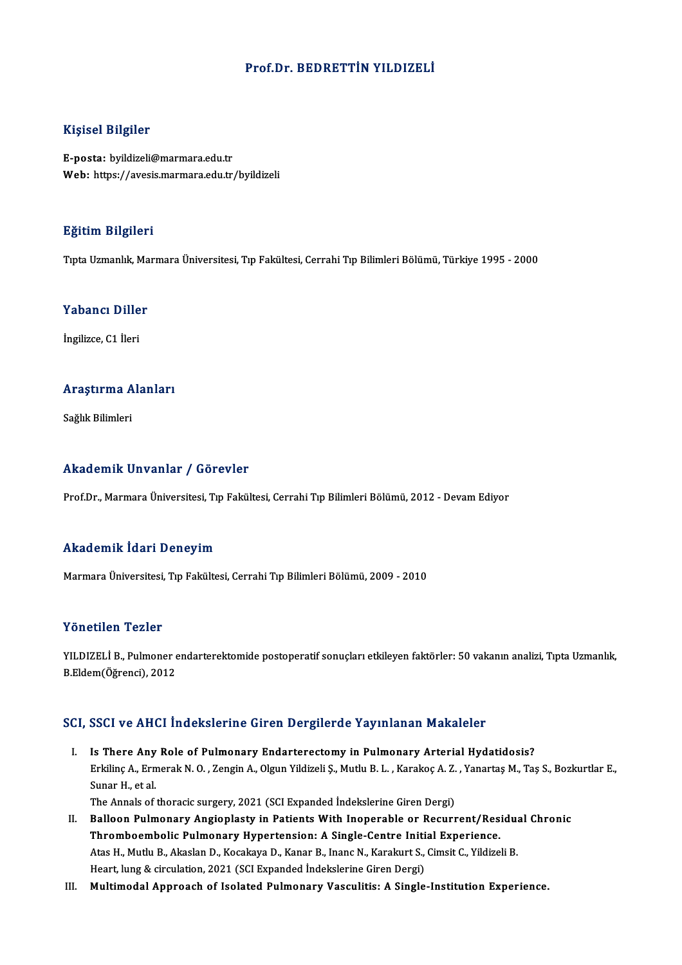### Prof.Dr. BEDRETTİN YILDIZELİ

### Kişisel Bilgiler

E-posta: byildizeli@marmara.edu.tr Web: https://avesis.marmara.edu.tr/byildizeli

#### Eğitim Bilgileri

TıptaUzmanlık,MarmaraÜniversitesi,Tıp Fakültesi,CerrahiTıpBilimleriBölümü,Türkiye 1995 -2000

#### Yabancı Diller

İngilizce, C1 İleri

## <sub>Inglizce, CT lieri<br>Araştırma Alanları</sub> <mark>Araştırma A</mark><br>Sağlık Bilimleri

# Akademik Unvanlar / Görevler

Prof.Dr., Marmara Üniversitesi, Tıp Fakültesi, Cerrahi Tıp Bilimleri Bölümü, 2012 - Devam Ediyor

### Akademik İdari Deneyim

Marmara Üniversitesi, Tıp Fakültesi, Cerrahi Tıp Bilimleri Bölümü, 2009 - 2010

### Yönetilen Tezler

Yönetilen Tezler<br>YILDIZELİ B., Pulmoner endarterektomide postoperatif sonuçları etkileyen faktörler: 50 vakanın analizi, Tıpta Uzmanlık,<br>R.Fklam(Öğrensi), 2012 1 SHSCHSH 1 SHST<br>YILDIZELİ B., Pulmoner e<br>B.Eldem(Öğrenci), 2012 B.Eldem(Öğrenci), 2012<br>SCI, SSCI ve AHCI İndekslerine Giren Dergilerde Yayınlanan Makaleler

- I. Is There Any Role of Pulmonary Endarterectomy in Pulmonary Arterial Hydatidosis? Erkilinç A., Ermer Indonesion inc. en en Borgnordo Taylinianian Indianolof<br>Is There Any Role of Pulmonary Endarterectomy in Pulmonary Arterial Hydatidosis?<br>Erkilinç A., Ermerak N. O. , Zengin A., Olgun Yildizeli Ş., Mutlu Is There Any<br>Erkilinç A., Ern<br>Sunar H., et al.<br>The Annals of Sunar H., et al.<br>The Annals of thoracic surgery, 2021 (SCI Expanded İndekslerine Giren Dergi) Sunar H., et al.<br>The Annals of thoracic surgery, 2021 (SCI Expanded Indekslerine Giren Dergi)<br>II. Balloon Pulmonary Angioplasty in Patients With Inoperable or Recurrent/Residual Chronic<br>Thromboombolic Pulmonary Hyportonsio
- The Annals of thoracic surgery, 2021 (SCI Expanded Indekslerine Giren Dergi)<br>Balloon Pulmonary Angioplasty in Patients With Inoperable or Recurrent/Res<br>Thromboembolic Pulmonary Hypertension: A Single-Centre Initial Experie Balloon Pulmonary Angioplasty in Patients With Inoperable or Recurrent/Residu:<br>Thromboembolic Pulmonary Hypertension: A Single-Centre Initial Experience.<br>Atas H., Mutlu B., Akaslan D., Kocakaya D., Kanar B., Inanc N., Kara Thromboembolic Pulmonary Hypertension: A Single-Centre Initial Experience.<br>Atas H., Mutlu B., Akaslan D., Kocakaya D., Kanar B., Inanc N., Karakurt S., Cimsit C., Yildizeli B.<br>Heart, lung & circulation, 2021 (SCI Expanded
- III. Multimodal Approach of Isolated Pulmonary Vasculitis: A Single-Institution Experience.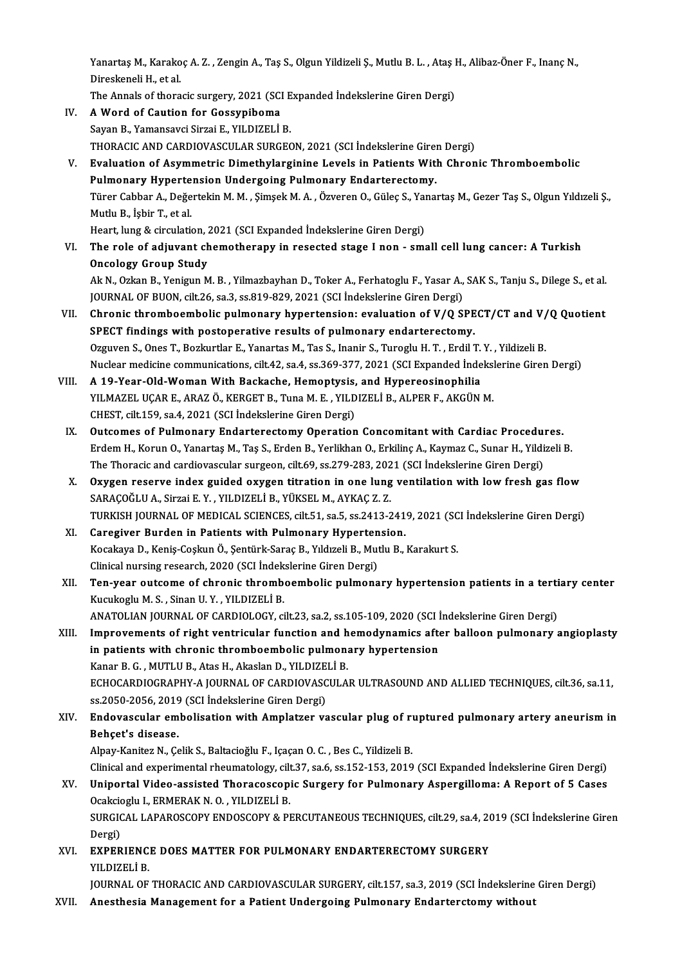Yanartaş M., Karakoç A. Z. , Zengin A., Taş S., Olgun Yildizeli Ş., Mutlu B. L. , Ataş H., Alibaz-Öner F., Inanç N.,<br>Dinaskapeli H. et al Yanartaş M., Karako<br>Direskeneli H., et al.<br>The Annala of thore Yanartaş M., Karakoç A. Z. , Zengin A., Taş S., Olgun Yildizeli Ş., Mutlu B. L. , Ataş I<br>Direskeneli H., et al.<br>The Annals of thoracic surgery, 2021 (SCI Expanded İndekslerine Giren Dergi)<br>A Word of Coution for Cossumibome

Direskeneli H., et al.<br>The Annals of thoracic surgery, 2021 (SCI Expanded Indekslerine Giren Dergi)<br>IV. A Word of Caution for Gossypiboma

- Sayan B., Yamansavci Sirzai E., YILDIZELİ B. A Word of Caution for Gossypiboma<br>Sayan B., Yamansavci Sirzai E., YILDIZELİ B.<br>THORACIC AND CARDIOVASCULAR SURGEON, 2021 (SCI İndekslerine Giren Dergi)<br>Fyalustion of Asymmetris Dimethylarsinine Lavels in Batiants With Chro
- V. Evaluation of Asymmetric Dimethylarginine Levels in Patients With Chronic Thromboembolic<br>Pulmonary Hypertension Undergoing Pulmonary Endarterectomy. THORACIC AND CARDIOVASCULAR SURGEON, 2021 (SCI İndekslerine Giren Evaluation of Asymmetric Dimethylarginine Levels in Patients With<br>Pulmonary Hypertension Undergoing Pulmonary Endarterectomy.<br>Türer Cabbar A. Değertekin M.M Evaluation of Asymmetric Dimethylarginine Levels in Patients With Chronic Thromboembolic<br>Pulmonary Hypertension Undergoing Pulmonary Endarterectomy.<br>Türer Cabbar A., Değertekin M. M. , Şimşek M. A. , Özveren O., Güleç S., Pulmonary Hyperte<br>Türer Cabbar A., Değe<br>Mutlu B., İşbir T., et al.<br>Heart lung & sirsulati Türer Cabbar A., Değertekin M. M. , Şimşek M. A. , Özveren O., Güleç S., Yaı<br>Mutlu B., İşbir T., et al.<br>Heart, lung & circulation, 2021 (SCI Expanded İndekslerine Giren Dergi)<br>The role of ediuwant shamatharany in resested Heart, lung & circulation, 2021 (SCI Expanded Indekslerine Giren Dergi)
- Mutlu B., İşbir T., et al.<br>Heart, lung & circulation, 2021 (SCI Expanded İndekslerine Giren Dergi)<br>VI. The role of adjuvant chemotherapy in resected stage I non small cell lung cancer: A Turkish<br>Oncology Group Study The role of adjuvant chemotherapy in resected stage I non - small cell lung cancer: A Turkish<br>Oncology Group Study<br>Ak N., Ozkan B., Yenigun M. B. , Yilmazbayhan D., Toker A., Ferhatoglu F., Yasar A., SAK S., Tanju S., Dile

Oncology Group Study<br>Ak N., Ozkan B., Yenigun M. B. , Yilmazbayhan D., Toker A., Ferhatoglu F., Yasar A.,<br>JOURNAL OF BUON, cilt.26, sa.3, ss.819-829, 2021 (SCI İndekslerine Giren Dergi)<br>Chronia thromboombolis nulmonoru bun Ak N., Ozkan B., Yenigun M. B. , Yilmazbayhan D., Toker A., Ferhatoglu F., Yasar A., SAK S., Tanju S., Dilege S., et al.<br>JOURNAL OF BUON, cilt.26, sa.3, ss.819-829, 2021 (SCI indekslerine Giren Dergi)<br>VII. Chronic thromboe

- JOURNAL OF BUON, cilt.26, sa.3, ss.819-829, 2021 (SCI Indekslerine Giren Dergi)<br>Chronic thromboembolic pulmonary hypertension: evaluation of V/Q SPE<br>SPECT findings with postoperative results of pulmonary endarterectomy.<br>Or Chronic thromboembolic pulmonary hypertension: evaluation of V/Q SPECT/CT and V/<br>SPECT findings with postoperative results of pulmonary endarterectomy.<br>Ozguven S., Ones T., Bozkurtlar E., Yanartas M., Tas S., Inanir S., Tu SPECT findings with postoperative results of pulmonary endarterectomy.<br>Ozguven S., Ones T., Bozkurtlar E., Yanartas M., Tas S., Inanir S., Turoglu H. T. , Erdil T. Y. , Yildizeli B.<br>Nuclear medicine communications, cilt.42 Ozguven S., Ones T., Bozkurtlar E., Yanartas M., Tas S., Inanir S., Turoglu H. T., Erdil T.<br>Nuclear medicine communications, cilt.42, sa.4, ss.369-377, 2021 (SCI Expanded Inde<br>VIII. A 19-Year-Old-Woman With Backache, Hemop
- Nuclear medicine communications, cilt.42, sa.4, ss.369-377, 2021 (SCI Expanded İndeksi<br>A 19-Year-Old-Woman With Backache, Hemoptysis, and Hypereosinophilia<br>YILMAZEL UÇAR E., ARAZ Ö., KERGET B., Tuna M. E. , YILDIZELİ B., A A 19-Year-Old-Woman With Backache, Hemoptysis,<br>YILMAZEL UÇAR E., ARAZ Ö., KERGET B., Tuna M. E. , YILD<br>CHEST, cilt.159, sa.4, 2021 (SCI İndekslerine Giren Dergi)<br>Qutsomes of Bulmanary, Endartarastomy Operation YILMAZEL UÇAR E., ARAZ Ö., KERGET B., Tuna M. E., YILDIZELİ B., ALPER F., AKGÜN M.<br>CHEST, cilt.159, sa.4, 2021 (SCI İndekslerine Giren Dergi)<br>IX. Outcomes of Pulmonary Endarterectomy Operation Concomitant with Cardiac Proc
- CHEST, cilt.159, sa.4, 2021 (SCI İndekslerine Giren Dergi)<br>Outcomes of Pulmonary Endarterectomy Operation Concomitant with Cardiac Procedures.<br>Erdem H., Korun O., Yanartaş M., Taş S., Erden B., Yerlikhan O., Erkilinç A., K Outcomes of Pulmonary Endarterectomy Operation Concomitant with Cardiac Procedu:<br>Erdem H., Korun O., Yanartaş M., Taş S., Erden B., Yerlikhan O., Erkilinç A., Kaymaz C., Sunar H., Yildi<br>The Thoracic and cardiovascular surg Erdem H., Korun O., Yanartaş M., Taş S., Erden B., Yerlikhan O., Erkilinç A., Kaymaz C., Sunar H., Yildizeli B.<br>The Thoracic and cardiovascular surgeon, cilt.69, ss.279-283, 2021 (SCI İndekslerine Giren Dergi)<br>X. Oxygen re
- The Thoracic and cardiovascular surgeon, cilt.69, ss.279-283, 202<br>Oxygen reserve index guided oxygen titration in one lung<br>SARAÇOĞLU A., Sirzai E. Y. , YILDIZELİ B., YÜKSEL M., AYKAÇ Z. Z.<br>TURKISH JOURNAL OF MEDICAL SCIENC Oxygen reserve index guided oxygen titration in one lung ventilation with low fresh gas flow<br>SARAÇOĞLU A., Sirzai E. Y. , YILDIZELİ B., YÜKSEL M., AYKAÇ Z. Z.<br>TURKISH JOURNAL OF MEDICAL SCIENCES, cilt.51, sa.5, ss.2413-241 SARAÇOĞLU A., Sirzai E. Y., YILDIZELİ B., YÜKSEL M., AYKAÇ Z. Z.<br>TURKISH JOURNAL OF MEDICAL SCIENCES, cilt.51, sa.5, ss.2413-241<br>XI. Caregiver Burden in Patients with Pulmonary Hypertension.<br>Kosokova D. Konis Coskup Ö. Son
- TURKISH JOURNAL OF MEDICAL SCIENCES, cilt.51, sa.5, ss.2413-2419, 2021 (SC<br>Caregiver Burden in Patients with Pulmonary Hypertension.<br>Kocakaya D., Keniş-Coşkun Ö., Şentürk-Saraç B., Yıldızeli B., Mutlu B., Karakurt S.<br>Clini Caregiver Burden in Patients with Pulmonary Hyperten<br>Kocakaya D., Keniş-Coşkun Ö., Şentürk-Saraç B., Yıldızeli B., Mut<br>Clinical nursing research, 2020 (SCI İndekslerine Giren Dergi)<br>Ten year outseme of shrenis thrembeembel
- Kocakaya D., Keniş-Coşkun Ö., Şentürk-Saraç B., Yıldızeli B., Mutlu B., Karakurt S.<br>Clinical nursing research, 2020 (SCI İndekslerine Giren Dergi)<br>XII. Ten-year outcome of chronic thromboembolic pulmonary hypertension Clinical nursing research, 2020 (SCI İndek<br>Ten-year outcome of chronic thromb<br>Kucukoglu M. S. , Sinan U. Y. , YILDIZELİ B.<br>ANATOLIAN JOUPMAL OF CAPPIOLOCY si Ten-year outcome of chronic thromboembolic pulmonary hypertension patients in a terti<br>Kucukoglu M. S. , Sinan U. Y. , YILDIZELİ B.<br>ANATOLIAN JOURNAL OF CARDIOLOGY, cilt.23, sa.2, ss.105-109, 2020 (SCI İndekslerine Giren De Kucukoglu M. S. , Sinan U. Y. , YILDIZELİ B.<br>ANATOLIAN JOURNAL OF CARDIOLOGY, cilt.23, sa.2, ss.105-109, 2020 (SCI İndekslerine Giren Dergi)<br>XIII. Improvements of right ventricular function and hemodynamics after balloon p
- ANATOLIAN JOURNAL OF CARDIOLOGY, cilt.23, sa.2, ss.105-109, 2020 (SCI İ<br>Improvements of right ventricular function and hemodynamics afternation<br>in patients with chronic thromboembolic pulmonary hypertension<br>Kanar B.C., MUT Improvements of right ventricular function and hemodynamics after balloon pulmonary angioplasty<br>in patients with chronic thromboembolic pulmonary hypertension<br>Kanar B. G. , MUTLU B., Atas H., Akaslan D., YILDIZELİ B. in patients with chronic thromboembolic pulmonary hypertension<br>Kanar B. G. , MUTLU B., Atas H., Akaslan D., YILDIZELİ B.<br>ECHOCARDIOGRAPHY-A JOURNAL OF CARDIOVASCULAR ULTRASOUND AND ALLIED TECHNIQUES, cilt.36, sa.11,<br>ss 205 Kanar B. G. , MUTLU B., Atas H., Akaslan D., YILDIZE<br>ECHOCARDIOGRAPHY-A JOURNAL OF CARDIOVASC<br>ss.2050-2056, 2019 (SCI İndekslerine Giren Dergi)<br>Endovascular ombolisation with Ampletzer vs ECHOCARDIOGRAPHY-A JOURNAL OF CARDIOVASCULAR ULTRASOUND AND ALLIED TECHNIQUES, cilt.36, sa.11,<br>ss.2050-2056, 2019 (SCI İndekslerine Giren Dergi)<br>XIV. Endovascular embolisation with Amplatzer vascular plug of ruptured pulmo
- ss.2050-2056, 2019 (SCI İndekslerine Giren Dergi)<br>XIV. Endovascular embolisation with Amplatzer vascular plug of ruptured pulmonary artery aneurism in<br>Behçet's disease.

Alpay-Kanitez N., Çelik S., Baltacioğlu F., Içaçan O. C., Bes C., Yildizeli B.

Clinicaland experimental rheumatology, cilt.37, sa.6, ss.152-153,2019 (SCIExpanded İndekslerineGirenDergi)

- Alpay-Kanitez N., Çelik S., Baltacioğlu F., Içaçan O. C. , Bes C., Yildizeli B.<br>Clinical and experimental rheumatology, cilt.37, sa.6, ss.152-153, 2019 (SCI Expanded Indekslerine Giren Dergi)<br>XV. Uniportal Video-assisted T Clinical and experimental rheumatology, cilt<br>Uniportal Video-assisted Thoracoscopi<br>Ocakcioglu I., ERMERAK N. O. , YILDIZELİ B.<br>SURCICAL LARAROSCORY ENDOSCORY & PI Uniportal Video-assisted Thoracoscopic Surgery for Pulmonary Aspergilloma: A Report of 5 Cases<br>Ocakcioglu I., ERMERAK N. O. , YILDIZELİ B.<br>SURGICAL LAPAROSCOPY ENDOSCOPY & PERCUTANEOUS TECHNIQUES, cilt.29, sa.4, 2019 (SCI Ocakcio<br>SURGIO<br>Dergi)<br>EVPEP
- SURGICAL LAPAROSCOPY ENDOSCOPY & PERCUTANEOUS TECHNIQUES, cilt.29, sa.4, 20<br>Dergi)<br>XVI. EXPERIENCE DOES MATTER FOR PULMONARY ENDARTERECTOMY SURGERY<br>XVI. EXPERIENCE DOES MATTER FOR PULMONARY ENDARTERECTOMY SURGERY Dergi)<br><mark>EXPERIENC</mark><br>YILDIZELİ B.<br>IOUPNAL OF

YILDIZELİ B.<br>JOURNAL OF THORACIC AND CARDIOVASCULAR SURGERY, cilt.157, sa.3, 2019 (SCI İndekslerine Giren Dergi)

XVII. Anesthesia Management for a Patient Undergoing Pulmonary Endarterctomy without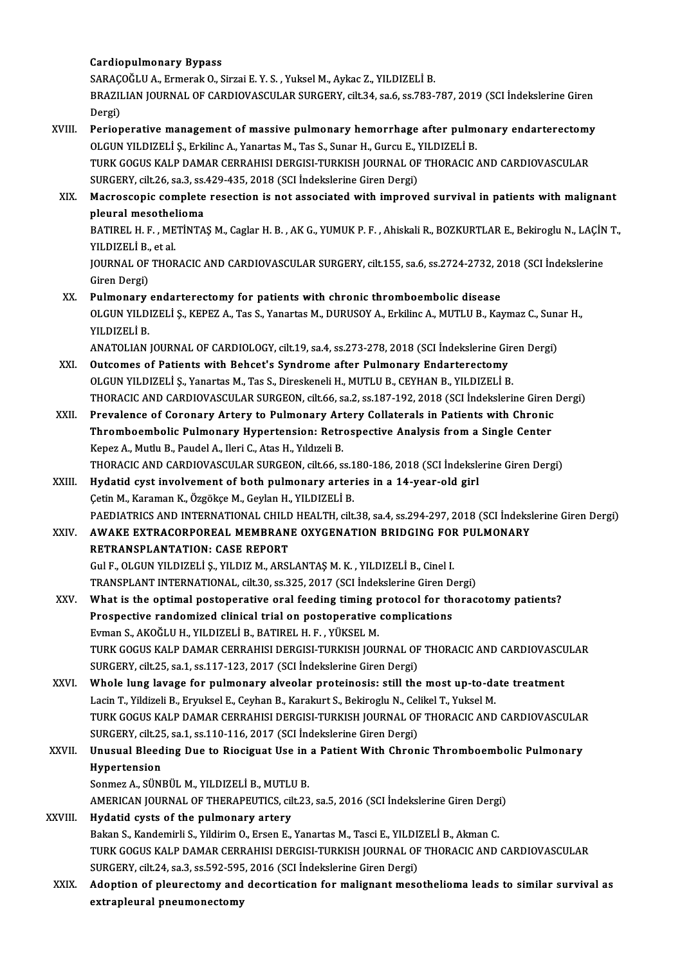### Cardiopulmonary Bypass

Cardiopulmonary Bypass<br>SARAÇOĞLU A., Ermerak O., Sirzai E. Y. S. , Yuksel M., Aykac Z., YILDIZELİ B.<br>PRAZU JAN JOURNAL OE GARDJOVASCULAR SURGERY .sit 34, 89 % 83.782 ; BRAZILIAN JOURNAL OF CARDIOVASCULAR SURGERY, cilt.34, sa.6, ss.783-787, 2019 (SCI İndekslerine Giren<br>Dergi) SARAÇ<br>BRAZII<br>Dergi)<br>Perion BRAZILIAN JOURNAL OF CARDIOVASCULAR SURGERY, cilt.34, sa.6, ss.783-787, 2019 (SCI İndekslerine Giren<br>Dergi)<br>XVIII. Perioperative management of massive pulmonary hemorrhage after pulmonary endarterectomy<br>OLCUN VILDIZELİ S.

Dergi)<br>Perioperative management of massive pulmonary hemorrhage after pulm<br>OLGUN YILDIZELİ Ş., Erkilinc A., Yanartas M., Tas S., Sunar H., Gurcu E., YILDIZELİ B.<br>TURK COCUS KALR DAMAR CERRAHISI DERCISI TURKISH JOURNAL OF T Perioperative management of massive pulmonary hemorrhage after pulmonary endarterectomy<br>OLGUN YILDIZELİ Ş., Erkilinc A., Yanartas M., Tas S., Sunar H., Gurcu E., YILDIZELİ B.<br>TURK GOGUS KALP DAMAR CERRAHISI DERGISI-TURKISH

OLGUN YILDIZELİ Ş., Erkilinc A., Yanartas M., Tas S., Sunar H., Gurcu E., Y<br>TURK GOGUS KALP DAMAR CERRAHISI DERGISI-TURKISH JOURNAL OF<br>SURGERY, cilt.26, sa.3, ss.429-435, 2018 (SCI İndekslerine Giren Dergi)<br>Magressonis som TURK GOGUS KALP DAMAR CERRAHISI DERGISI-TURKISH JOURNAL OF THORACIC AND CARDIOVASCULAR<br>SURGERY, cilt.26, sa.3, ss.429-435, 2018 (SCI İndekslerine Giren Dergi)<br>XIX. Macroscopic complete resection is not associated with impr

SURGERY, cilt26, sa.3, ss.<br>Macroscopic complete<br>pleural mesothelioma<br>PATIBEL H E - METINTA Macroscopic complete resection is not associated with improved survival in patients with malignant<br>pleural mesothelioma<br>BATIREL H. F. , METİNTAŞ M., Caglar H. B. , AK G., YUMUK P. F. , Ahiskali R., BOZKURTLAR E., Bekiroglu

pleural mesothel<br>BATIREL H. F. , ME<br>YILDIZELİ B., et al.<br>JOUPMAL OF THOP BATIREL H. F. , METİNTAŞ M., Caglar H. B. , AK G., YUMUK P. F. , Ahiskali R., BOZKURTLAR E., Bekiroglu N., LAÇİN<br>YILDIZELİ B., et al.<br>JOURNAL OF THORACIC AND CARDIOVASCULAR SURGERY, cilt.155, sa.6, ss.2724-2732, 2018 (SCI

YILDIZELİ B., et al.<br>JOURNAL OF THORACIC AND CARDIOVASCULAR SURGERY, cilt.155, sa.6, ss.2724-2732, 2018 (SCI İndekslerine<br>Giren Dergi)

XX. Pulmonary endarterectomy for patients with chronic thromboembolic disease Giren Dergi)<br>Pulmonary endarterectomy for patients with chronic thromboembolic disease<br>OLGUN YILDIZELİ Ş., KEPEZ A., Tas S., Yanartas M., DURUSOY A., Erkilinc A., MUTLU B., Kaymaz C., Sunar H.,<br>YU DIZELİ P Pul<mark>monary</mark><br>OLGUN YILDI<br>YILDIZELİ B.<br>ANATOLIAN OLGUN YILDIZELİ Ş., KEPEZ A., Tas S., Yanartas M., DURUSOY A., Erkilinc A., MUTLU B., Kaymaz C., Suna<br>YILDIZELİ B.<br>ANATOLIAN JOURNAL OF CARDIOLOGY, cilt.19, sa.4, ss.273-278, 2018 (SCI İndekslerine Giren Dergi)<br>Qutaamas of YILDIZELİ B.<br>ANATOLIAN JOURNAL OF CARDIOLOGY, cilt.19, sa.4, ss.273-278, 2018 (SCI İndekslerine Giren Dergi)<br>XXI. Outcomes of Patients with Behcet's Syndrome after Pulmonary Endarterectomy

- OLGUN YILDIZELİ Ş., Yanartas M., Tas S., Direskeneli H., MUTLU B., CEYHAN B., YILDIZELİ B. THORACIC AND CARDIOVASCULAR SURGEON, cilt.66, sa.2, ss.187-192, 2018 (SCI İndekslerine Giren Dergi)
- XXII. Prevalence of Coronary Artery to Pulmonary Artery Collaterals in Patients with Chronic THORACIC AND CARDIOVASCULAR SURGEON, cilt.66, sa.2, ss.187-192, 2018 (SCI indekslerine Giren<br>Prevalence of Coronary Artery to Pulmonary Artery Collaterals in Patients with Chronic<br>Thromboembolic Pulmonary Hypertension: Ret Prevalence of Coronary Artery to Pulmonary Art<br>Thromboembolic Pulmonary Hypertension: Retr<br>Kepez A., Mutlu B., Paudel A., Ileri C., Atas H., Yıldızeli B.<br>THOPACIC AND CAPDIOVASCIJ AP SUPCEON, cilt 66-c Thromboembolic Pulmonary Hypertension: Retrospective Analysis from a Single Center<br>Kepez A., Mutlu B., Paudel A., Ileri C., Atas H., Yıldızeli B.<br>THORACIC AND CARDIOVASCULAR SURGEON, cilt.66, ss.180-186, 2018 (SCI İndeksle Kepez A., Mutlu B., Paudel A., Ileri C., Atas H., Yıldızeli B.<br>THORACIC AND CARDIOVASCULAR SURGEON, cilt.66, ss.180-186, 2018 (SCI İndeksle<br>XXIII. Hydatid cyst involvement of both pulmonary arteries in a 14-year-old girl<br>C
- THORACIC AND CARDIOVASCULAR SURGEON, cilt.66, ss.1<br>Hydatid cyst involvement of both pulmonary arter<br>Çetin M., Karaman K., Özgökçe M., Geylan H., YILDIZELİ B.<br>RAEDIATRICS AND INTERNATIONAL CHILD HEALTH .cilt. Çetin M., Karaman K., Özgökçe M., Geylan H., YILDIZELİ B.<br>PAEDIATRICS AND INTERNATIONAL CHILD HEALTH, cilt.38, sa.4, ss.294-297, 2018 (SCI İndekslerine Giren Dergi) Cetin M., Karaman K., Özgökçe M., Geylan H., YILDIZELİ B.<br>PAEDIATRICS AND INTERNATIONAL CHILD HEALTH, cilt.38, sa.4, ss.294-297, 2018 (SCI İndeksl<br>XXIV. AWAKE EXTRACORPOREAL MEMBRANE OXYGENATION BRIDGING FOR PULMONARY<br>
- PAEDIATRICS AND INTERNATIONAL CHILD<br>AWAKE EXTRACORPOREAL MEMBRAN<br>RETRANSPLANTATION: CASE REPORT<br>Cule, OLCUN VILDIZELLS, VILDIZ M. ARSI AWAKE EXTRACORPOREAL MEMBRANE OXYGENATION BRIDGING FOF<br>RETRANSPLANTATION: CASE REPORT<br>Gul F., OLGUN YILDIZELİ Ş., YILDIZ M., ARSLANTAŞ M. K. , YILDIZELİ B., Cinel I.<br>TRANSPLANT INTERNATIONAL .cilt 20. 99.225. 2017.(SCLİnde RETRANSPLANTATION: CASE REPORT<br>Gul F., OLGUN YILDIZELİ Ş., YILDIZ M., ARSLANTAŞ M. K. , YILDIZELİ B., Cinel I.<br>TRANSPLANT INTERNATIONAL, cilt.30, ss.325, 2017 (SCI İndekslerine Giren Dergi)<br>What is the entimal pestanenativ Gul F., OLGUN YILDIZELİ Ş., YILDIZ M., ARSLANTAŞ M. K. , YILDIZELİ B., Cinel I.<br>TRANSPLANT INTERNATIONAL, cilt.30, ss.325, 2017 (SCI İndekslerine Giren Dergi)<br>XXV. What is the optimal postoperative oral feeding timing
- TRANSPLANT INTERNATIONAL, cilt.30, ss.325, 2017 (SCI İndekslerine Giren De<br>What is the optimal postoperative oral feeding timing protocol for the<br>Prospective randomized clinical trial on postoperative complications<br>Firman What is the optimal postoperative oral feeding timing p<br>Prospective randomized clinical trial on postoperative<br>Evman S., AKOĞLU H., YILDIZELİ B., BATIREL H. F. , YÜKSEL M.<br>TURK COCUS KALP DAMAR GERRAHISI DERCISI TURKISH JO Prospective randomized clinical trial on postoperative complications<br>Evman S., AKOĞLU H., YILDIZELİ B., BATIREL H. F. , YÜKSEL M.<br>TURK GOGUS KALP DAMAR CERRAHISI DERGISI-TURKISH IOURNAL OF THORACIC AND CARDIOVASCULAR SURGERY, cilt.25, sa.1, ss.117-123, 2017 (SCI İndekslerine Giren Dergi) TURK GOGUS KALP DAMAR CERRAHISI DERGISI-TURKISH JOURNAL OF THORACIC AND CARDIOVASCU<br>SURGERY, cilt.25, sa.1, ss.117-123, 2017 (SCI İndekslerine Giren Dergi)<br>XXVI. Whole lung lavage for pulmonary alveolar proteinosis: still
- SURGERY, cilt.25, sa.1, ss.117-123, 2017 (SCI İndekslerine Giren Dergi)<br>Whole lung lavage for pulmonary alveolar proteinosis: still the most up-to-da<br>Lacin T., Yildizeli B., Eryuksel E., Ceyhan B., Karakurt S., Bekiroglu N Whole lung lavage for pulmonary alveolar proteinosis: still the most up-to-date treatment<br>Lacin T., Yildizeli B., Eryuksel E., Ceyhan B., Karakurt S., Bekiroglu N., Celikel T., Yuksel M.<br>TURK GOGUS KALP DAMAR CERRAHISI DER Lacin T., Yildizeli B., Eryuksel E., Ceyhan B., Karakurt S., Bekiroglu N., Cel<br>TURK GOGUS KALP DAMAR CERRAHISI DERGISI-TURKISH JOURNAL OF<br>SURGERY, cilt.25, sa.1, ss.110-116, 2017 (SCI İndekslerine Giren Dergi)<br>Unusual Blaa TURK GOGUS KALP DAMAR CERRAHISI DERGISI-TURKISH JOURNAL OF THORACIC AND CARDIOVASCULAF<br>SURGERY, cilt.25, sa.1, ss.110-116, 2017 (SCI İndekslerine Giren Dergi)<br>XXVII. Unusual Bleeding Due to Riociguat Use in a Patient With
- SURGERY, cilt.25<br>Unusual Bleed<br>Hypertension<br>Sonmez A. SÜNI Unusual Bleeding Due to Riociguat Use in<br>Hypertension<br>Sonmez A., SÜNBÜL M., YILDIZELİ B., MUTLU B.<br>AMERICAN IOURNAL OF THERAREUTICS silt 22

Hypertension<br>Sonmez A., SÜNBÜL M., YILDIZELİ B., MUTLU B.<br>AMERICAN JOURNAL OF THERAPEUTICS, cilt.23, sa.5, 2016 (SCI İndekslerine Giren Dergi)

- XXVIII. Hydatid cysts of the pulmonary artery AMERICAN JOURNAL OF THERAPEUTICS, cilt.23, sa.5, 2016 (SCI İndekslerine Giren Dergi<br>Hydatid cysts of the pulmonary artery<br>Bakan S., Kandemirli S., Yildirim O., Ersen E., Yanartas M., Tasci E., YILDIZELİ B., Akman C.<br>TURK C TURK GOGUS KALP DAMAR CERRAHISI DERGISI-TURKISH JOURNAL OF THORACIC AND CARDIOVASCULAR<br>SURGERY, cilt.24, sa.3, ss.592-595, 2016 (SCI İndekslerine Giren Dergi) Bakan S., Kandemirli S., Yildirim O., Ersen E., Yanartas M., Tasci E., YILDI.<br>TURK GOGUS KALP DAMAR CERRAHISI DERGISI-TURKISH JOURNAL OF<br>SURGERY, cilt.24, sa.3, ss.592-595, 2016 (SCI İndekslerine Giren Dergi)<br>Adaptian of p TURK GOGUS KALP DAMAR CERRAHISI DERGISI-TURKISH JOURNAL OF THORACIC AND CARDIOVASCULAR<br>SURGERY, cilt.24, sa.3, ss.592-595, 2016 (SCI Indekslerine Giren Dergi)<br>XXIX. Adoption of pleurectomy and decortication for malignant m
	- SURGERY, cilt.24, sa.3, ss.592-595<br>Adoption of pleurectomy and<br>extrapleural pneumonectomy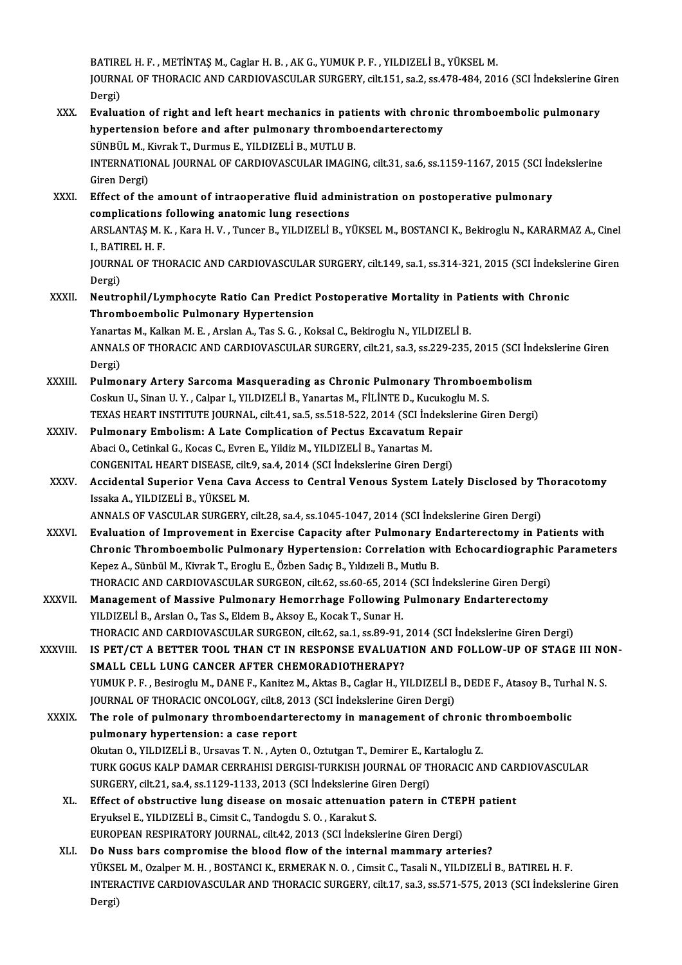BATIRELH.F. ,METİNTAŞM.,CaglarH.B. ,AKG.,YUMUKP.F. ,YILDIZELİB.,YÜKSELM. BATIREL H. F. , METİNTAŞ M., Caglar H. B. , AK G., YUMUK P. F. , YILDIZELİ B., YÜKSEL M.<br>JOURNAL OF THORACIC AND CARDIOVASCULAR SURGERY, cilt.151, sa.2, ss.478-484, 2016 (SCI İndekslerine Giren BATIRI<br>JOURN<br>Dergi)<br>Evalue JOURNAL OF THORACIC AND CARDIOVASCULAR SURGERY, cilt.151, sa.2, ss.478-484, 2016 (SCI İndekslerine Gi<br>Dergi)<br>XXX. Evaluation of right and left heart mechanics in patients with chronic thromboembolic pulmonary<br>hypertension

Dergi)<br>Evaluation of right and left heart mechanics in patients with chronic<br>hypertension before and after pulmonary thromboendarterectomy<br>SÜNPÜLM, Kivrak T. Durmus E. VU DIZELLP, MUTLU P hypertension before and after pulmonary thromboendarterectomy<br>SÜNBÜL M., Kivrak T., Durmus E., YILDIZELİ B., MUTLU B. hypertension before and after pulmonary thromboendarterectomy<br>SÜNBÜL M., Kivrak T., Durmus E., YILDIZELİ B., MUTLU B.<br>INTERNATIONAL JOURNAL OF CARDIOVASCULAR IMAGING, cilt.31, sa.6, ss.1159-1167, 2015 (SCI İndekslerine<br>Cir SÜNBÜL M., F<br>INTERNATIO<br>Giren Dergi)<br>Effect of the INTERNATIONAL JOURNAL OF CARDIOVASCULAR IMAGING, cilt.31, sa.6, ss.1159-1167, 2015 (SCI Increment Party)<br>Giren Dergi)<br>XXXI. Effect of the amount of intraoperative fluid administration on postoperative pulmonary<br>complicatio Giren Dergi)<br>Effect of the amount of intraoperative fluid admin<br>complications following anatomic lung resections<br>APSLANTAS M. K. Kara H. V., Tungar B. VILDIZELLP, V Effect of the amount of intraoperative fluid administration on postoperative pulmonary<br>complications following anatomic lung resections<br>ARSLANTAŞ M. K. , Kara H. V. , Tuncer B., YILDIZELİ B., YÜKSEL M., BOSTANCI K., Bekiro complications following anatomic lung resections<br>ARSLANTAŞ M. K., Kara H. V., Tuncer B., YILDIZELİ B., Y<br>I.. BATIREL H. F. ARSLANTAŞ M. K. , Kara H. V. , Tuncer B., YILDIZELİ B., YÜKSEL M., BOSTANCI K., Bekiroglu N., KARARMAZ A., Cinel<br>I., BATIREL H. F.<br>JOURNAL OF THORACIC AND CARDIOVASCULAR SURGERY, cilt.149, sa.1, ss.314-321, 2015 (SCI İndek JOURNAL OF THORACIC AND CARDIOVASCULAR SURGERY, cilt.149, sa.1, ss.314-321, 2015 (SCI Indekslerine Giren JOURNAL OF THORACIC AND CARDIOVASCULAR SURGERY, cilt.149, sa.1, ss.314-321, 2015 (SCI İndeksle<br>Dergi)<br>XXXII. Neutrophil/Lymphocyte Ratio Can Predict Postoperative Mortality in Patients with Chronic<br>Thromboombolic Pulmonary Dergi)<br>Neutrophil/Lymphocyte Ratio Can Predict I<br>Thromboembolic Pulmonary Hypertension<br>Yanartas M. Kalkan M. E. Arelan A. Tas S. C. Ko Neutrophil/Lymphocyte Ratio Can Predict Postoperative Mortality in Pat<br>Thromboembolic Pulmonary Hypertension<br>Yanartas M., Kalkan M. E. , Arslan A., Tas S. G. , Koksal C., Bekiroglu N., YILDIZELİ B.<br>ANNALS OF THOPACIC AND C Thromboembolic Pulmonary Hypertension<br>Yanartas M., Kalkan M. E. , Arslan A., Tas S. G. , Koksal C., Bekiroglu N., YILDIZELİ B.<br>ANNALS OF THORACIC AND CARDIOVASCULAR SURGERY, cilt.21, sa.3, ss.229-235, 2015 (SCI İndekslerin Yanartas M., Kalkan M. E. , Arslan A., Tas S. G. , Koksal C., Bekiroglu N., YILDIZELİ B.<br>ANNALS OF THORACIC AND CARDIOVASCULAR SURGERY, cilt.21, sa.3, ss.229-235,<br>Dergi) ANNALS OF THORACIC AND CARDIOVASCULAR SURGERY, cilt.21, sa.3, ss.229-235, 2015 (SCI ind<br>Dergi)<br>XXXIII. Pulmonary Artery Sarcoma Masquerading as Chronic Pulmonary Thromboembolism<br>Cooking U. Sinon U. Y. Colpan L. VII DIZELLE Pulmonary Artery Sarcoma Masquerading as Chronic Pulmonary Thromboembolism<br>Coskun U., Sinan U.Y., Calpar I., YILDIZELİ B., Yanartas M., FİLİNTE D., Kucukoglu M. S. TEXAS HEART INSTITUTE JOURNAL, cilt.41, sa.5, ss.518-522, 2014 (SCI İndekslerine Giren Dergi) Coskun U., Sinan U. Y., Calpar I., YILDIZELİ B., Yanartas M., FİLİNTE D., Kucukoglu<br>TEXAS HEART INSTITUTE JOURNAL, cilt.41, sa.5, ss.518-522, 2014 (SCI İndeksleri<br>XXXIV. Pulmonary Embolism: A Late Complication of Pectus Ex TEXAS HEART INSTITUTE JOURNAL, cilt.41, sa.5, ss.518-522, 2014 (SCI Ind<br>Pulmonary Embolism: A Late Complication of Pectus Excavatum R<br>Abaci O., Cetinkal G., Kocas C., Evren E., Yildiz M., YILDIZELİ B., Yanartas M.<br>CONCENIT Pulmonary Embolism: A Late Complication of Pectus Excavatum Repa:<br>Abaci O., Cetinkal G., Kocas C., Evren E., Yildiz M., YILDIZELİ B., Yanartas M.<br>CONGENITAL HEART DISEASE, cilt.9, sa.4, 2014 (SCI İndekslerine Giren Dergi)<br> Abaci O., Cetinkal G., Kocas C., Evren E., Yildiz M., YILDIZELİ B., Yanartas M.<br>CONGENITAL HEART DISEASE, cilt.9, sa.4, 2014 (SCI İndekslerine Giren Dergi)<br>XXXV. Accidental Superior Vena Cava Access to Central Venous Sy CONGENITAL HEART DISEASE, cilt.9, sa.4, 2014 (SCI İndekslerine Giren Dergi)<br>Accidental Superior Vena Cava Access to Central Venous System Lately Disclosed by T<br>Issaka A., YILDIZELİ B., YÜKSEL M.<br>ANNALS OF VASCULAR SURGERY, Accidental Superior Vena Cava Access to Central Venous System Lately Disclosed by T<br>Issaka A., YILDIZELİ B., YÜKSEL M.<br>ANNALS OF VASCULAR SURGERY, cilt.28, sa.4, ss.1045-1047, 2014 (SCI İndekslerine Giren Dergi)<br>Fyaluation Issaka A., YILDIZELİ B., YÜKSEL M.<br>ANNALS OF VASCULAR SURGERY, cilt.28, sa.4, ss.1045-1047, 2014 (SCI İndekslerine Giren Dergi)<br>XXXVI. Braluation of Improvement in Exercise Capacity after Pulmonary Endarterectomy in Patien ANNALS OF VASCULAR SURGERY, cilt.28, sa.4, ss.1045-1047, 2014 (SCI İndekslerine Giren Dergi)<br>Evaluation of Improvement in Exercise Capacity after Pulmonary Endarterectomy in Patients with<br>Chronic Thromboembolic Pulmonary H Evaluation of Improvement in Exercise Capacity after Pulmonary E<br>Chronic Thromboembolic Pulmonary Hypertension: Correlation wi<br>Kepez A., Sünbül M., Kivrak T., Eroglu E., Özben Sadıç B., Yıldızeli B., Mutlu B.<br>THOPACIC AND Chronic Thromboembolic Pulmonary Hypertension: Correlation with Echocardiographic<br>Kepez A., Sünbül M., Kivrak T., Eroglu E., Özben Sadıç B., Yıldızeli B., Mutlu B.<br>THORACIC AND CARDIOVASCULAR SURGEON, cilt.62, ss.60-65, 20 Kepez A., Sünbül M., Kivrak T., Eroglu E., Özben Sadıç B., Yıldızeli B., Mutlu B.<br>THORACIC AND CARDIOVASCULAR SURGEON, cilt.62, ss.60-65, 2014 (SCI İndekslerine Giren Dergi)<br>XXXVII. Management of Massive Pulmonary Hemorrha THORACIC AND CARDIOVASCULAR SURGEON, cilt.62, ss.60-65, 2014<br>Management of Massive Pulmonary Hemorrhage Following<br>YILDIZELİ B., Arslan O., Tas S., Eldem B., Aksoy E., Kocak T., Sunar H.<br>THORACIC AND CARDIOVASCULAR SURCEON, Management of Massive Pulmonary Hemorrhage Following Pulmonary Endarterectomy<br>YILDIZELİ B., Arslan O., Tas S., Eldem B., Aksoy E., Kocak T., Sunar H.<br>THORACIC AND CARDIOVASCULAR SURGEON, cilt.62, sa.1, ss.89-91, 2014 (SCI YILDIZELİ B., Arslan O., Tas S., Eldem B., Aksoy E., Kocak T., Sunar H.<br>THORACIC AND CARDIOVASCULAR SURGEON, cilt.62, sa.1, ss.89-91, 2014 (SCI İndekslerine Giren Dergi)<br>XXXVIII. IS PET/CT A BETTER TOOL THAN CT IN RESPONSE THORACIC AND CARDIOVASCULAR SURGEON, cilt.62, sa.1, ss.89-91,<br>IS PET/CT A BETTER TOOL THAN CT IN RESPONSE EVALUAT<br>SMALL CELL LUNG CANCER AFTER CHEMORADIOTHERAPY?<br>VIMUK B. E. Besinegly M. DANE E. Kanitar M. Aktor B. Caglar IS PET/CT A BETTER TOOL THAN CT IN RESPONSE EVALUATION AND FOLLOW-UP OF STAGE III NC<br>SMALL CELL LUNG CANCER AFTER CHEMORADIOTHERAPY?<br>YUMUK P. F., Besiroglu M., DANE F., Kanitez M., Aktas B., Caglar H., YILDIZELİ B., DEDE F SMALL CELL LUNG CANCER AFTER CHEMORADIOTHERAPY?<br>YUMUK P. F. , Besiroglu M., DANE F., Kanitez M., Aktas B., Caglar H., YILDIZELİ B<br>JOURNAL OF THORACIC ONCOLOGY, cilt.8, 2013 (SCI İndekslerine Giren Dergi)<br>The role of nulmon YUMUK P. F. , Besiroglu M., DANE F., Kanitez M., Aktas B., Caglar H., YILDIZELİ B., DEDE F., Atasoy B., Turk<br>JOURNAL OF THORACIC ONCOLOGY, cilt.8, 2013 (SCI İndekslerine Giren Dergi)<br>XXXIX. The role of pulmonary thromboend JOURNAL OF THORACIC ONCOLOGY, cilt.8, 2013 (SCI Indekslerine Giren Dergi)<br>The role of pulmonary thromboendarterectomy in management of chipulmonary hypertension: a case report The role of pulmonary thromboendarterectomy in management of chronic thromboembolic TURK GOGUS KALP DAMAR CERRAHISI DERGISI-TURKISH JOURNAL OF THORACIC AND CARDIOVASCULAR Okutan O., YILDIZELİ B., Ursavas T. N., Ayten O., Oztutgan T., Demirer E., Kartaloglu Z. XL. Effect of obstructive lung disease on mosaic attenuation patern in CTEPH patient<br>Eryuksel E., YILDIZELİ B., Cimsit C., Tandogdu S. O., Karakut S. SURGERY, cilt.21, sa 4, ss 1129-1133, 2013 (SCI İndekslerine Giren Dergi) EUROPEAN RESPIRATORY JOURNAL, cilt.42, 2013 (SCI İndekslerine Giren Dergi) XLI. Do Nuss bars compromise the blood flow of the internal mammary arteries? EUROPEAN RESPIRATORY JOURNAL, cilt.42, 2013 (SCI İndekslerine Giren Dergi)<br>Do Nuss bars compromise the blood flow of the internal mammary arteries?<br>YÜKSEL M., Ozalper M. H. , BOSTANCI K., ERMERAK N. O. , Cimsit C., Tasali INTERACTIVE CARDIOVASCULAR AND THORACIC SURGERY, cilt.17, sa.3, ss.571-575, 2013 (SCI İndekslerine Giren Dergi) YÜKSE<br>INTER<br>Dergi)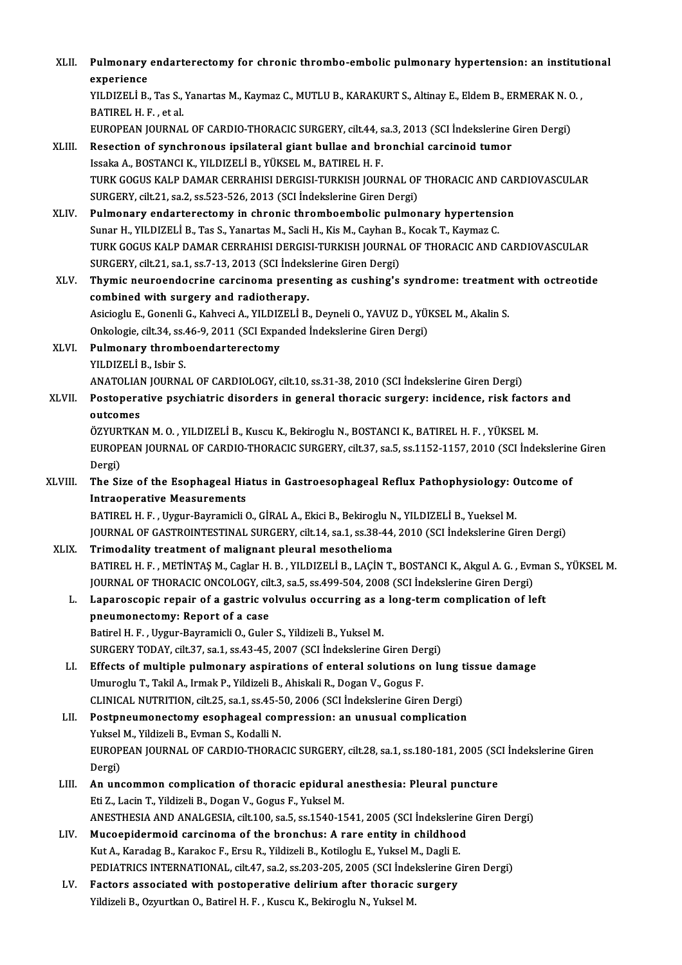| XLII.   | Pulmonary endarterectomy for chronic thrombo-embolic pulmonary hypertension: an institutional<br>experience                                                                             |
|---------|-----------------------------------------------------------------------------------------------------------------------------------------------------------------------------------------|
|         | YILDIZELİ B., Tas S., Yanartas M., Kaymaz C., MUTLU B., KARAKURT S., Altinay E., Eldem B., ERMERAK N. O.,<br>BATIREL H. F., et al.                                                      |
|         | EUROPEAN JOURNAL OF CARDIO-THORACIC SURGERY, cilt.44, sa.3, 2013 (SCI İndekslerine Giren Dergi)                                                                                         |
| XLIII.  | Resection of synchronous ipsilateral giant bullae and bronchial carcinoid tumor                                                                                                         |
|         | Issaka A., BOSTANCI K., YILDIZELİ B., YÜKSEL M., BATIREL H. F.                                                                                                                          |
|         | TURK GOGUS KALP DAMAR CERRAHISI DERGISI-TURKISH JOURNAL OF THORACIC AND CARDIOVASCULAR                                                                                                  |
|         | SURGERY, cilt.21, sa.2, ss.523-526, 2013 (SCI Indekslerine Giren Dergi)                                                                                                                 |
| XLIV.   | Pulmonary endarterectomy in chronic thromboembolic pulmonary hypertension                                                                                                               |
|         | Sunar H., YILDIZELİ B., Tas S., Yanartas M., Sacli H., Kis M., Cayhan B., Kocak T., Kaymaz C.<br>TURK GOGUS KALP DAMAR CERRAHISI DERGISI-TURKISH JOURNAL OF THORACIC AND CARDIOVASCULAR |
|         | SURGERY, cilt.21, sa.1, ss.7-13, 2013 (SCI İndekslerine Giren Dergi)                                                                                                                    |
| XLV.    | Thymic neuroendocrine carcinoma presenting as cushing's syndrome: treatment with octreotide                                                                                             |
|         | combined with surgery and radiotherapy.                                                                                                                                                 |
|         | Asicioglu E., Gonenli G., Kahveci A., YILDIZELİ B., Deyneli O., YAVUZ D., YÜKSEL M., Akalin S.                                                                                          |
|         | Onkologie, cilt.34, ss.46-9, 2011 (SCI Expanded İndekslerine Giren Dergi)                                                                                                               |
| XLVI.   | Pulmonary thromboendarterectomy                                                                                                                                                         |
|         | YILDIZELİ B., Isbir S.                                                                                                                                                                  |
|         | ANATOLIAN JOURNAL OF CARDIOLOGY, cilt.10, ss.31-38, 2010 (SCI Indekslerine Giren Dergi)                                                                                                 |
| XLVII.  | Postoperative psychiatric disorders in general thoracic surgery: incidence, risk factors and                                                                                            |
|         | outcomes                                                                                                                                                                                |
|         | ÖZYURTKAN M. O., YILDIZELİ B., Kuscu K., Bekiroglu N., BOSTANCI K., BATIREL H. F., YÜKSEL M.                                                                                            |
|         | EUROPEAN JOURNAL OF CARDIO-THORACIC SURGERY, cilt.37, sa.5, ss.1152-1157, 2010 (SCI İndekslerine Giren<br>Dergi)                                                                        |
| XLVIII. | The Size of the Esophageal Hiatus in Gastroesophageal Reflux Pathophysiology: Outcome of                                                                                                |
|         | <b>Intraoperative Measurements</b>                                                                                                                                                      |
|         | BATIREL H. F., Uygur-Bayramicli O., GİRAL A., Ekici B., Bekiroglu N., YILDIZELİ B., Yueksel M.                                                                                          |
|         | JOURNAL OF GASTROINTESTINAL SURGERY, cilt.14, sa.1, ss.38-44, 2010 (SCI İndekslerine Giren Dergi)                                                                                       |
| XLIX.   | Trimodality treatment of malignant pleural mesothelioma                                                                                                                                 |
|         | BATIREL H. F., METİNTAŞ M., Caglar H. B., YILDIZELİ B., LAÇİN T., BOSTANCI K., Akgul A. G., Evman S., YÜKSEL M.                                                                         |
|         | JOURNAL OF THORACIC ONCOLOGY, cilt.3, sa.5, ss.499-504, 2008 (SCI Indekslerine Giren Dergi)                                                                                             |
| L.      | Laparoscopic repair of a gastric volvulus occurring as a long-term complication of left                                                                                                 |
|         | pneumonectomy: Report of a case                                                                                                                                                         |
|         | Batirel H. F., Uygur-Bayramicli O., Guler S., Yildizeli B., Yuksel M.<br>SURGERY TODAY, cilt.37, sa.1, ss.43-45, 2007 (SCI Indekslerine Giren Dergi)                                    |
| LI.     | Effects of multiple pulmonary aspirations of enteral solutions on lung tissue damage                                                                                                    |
|         | Umuroglu T., Takil A., Irmak P., Yildizeli B., Ahiskali R., Dogan V., Gogus F.                                                                                                          |
|         | CLINICAL NUTRITION, cilt.25, sa.1, ss.45-50, 2006 (SCI İndekslerine Giren Dergi)                                                                                                        |
| LII.    | Postpneumonectomy esophageal compression: an unusual complication                                                                                                                       |
|         | Yuksel M., Yildizeli B., Evman S., Kodalli N.                                                                                                                                           |
|         | EUROPEAN JOURNAL OF CARDIO-THORACIC SURGERY, cilt.28, sa.1, ss.180-181, 2005 (SCI İndekslerine Giren                                                                                    |
|         | Dergi)                                                                                                                                                                                  |
| LIII.   | An uncommon complication of thoracic epidural anesthesia: Pleural puncture                                                                                                              |
|         | Eti Z., Lacin T., Yildizeli B., Dogan V., Gogus F., Yuksel M.                                                                                                                           |
|         | ANESTHESIA AND ANALGESIA, cilt.100, sa.5, ss.1540-1541, 2005 (SCI İndekslerine Giren Dergi)                                                                                             |
| LIV.    | Mucoepidermoid carcinoma of the bronchus: A rare entity in childhood                                                                                                                    |
|         | Kut A., Karadag B., Karakoc F., Ersu R., Yildizeli B., Kotiloglu E., Yuksel M., Dagli E.                                                                                                |
|         | PEDIATRICS INTERNATIONAL, cilt.47, sa.2, ss.203-205, 2005 (SCI Indekslerine Giren Dergi)                                                                                                |
| LV.     | Factors associated with postoperative delirium after thoracic surgery                                                                                                                   |
|         | Yildizeli B., Ozyurtkan O., Batirel H. F., Kuscu K., Bekiroglu N., Yuksel M.                                                                                                            |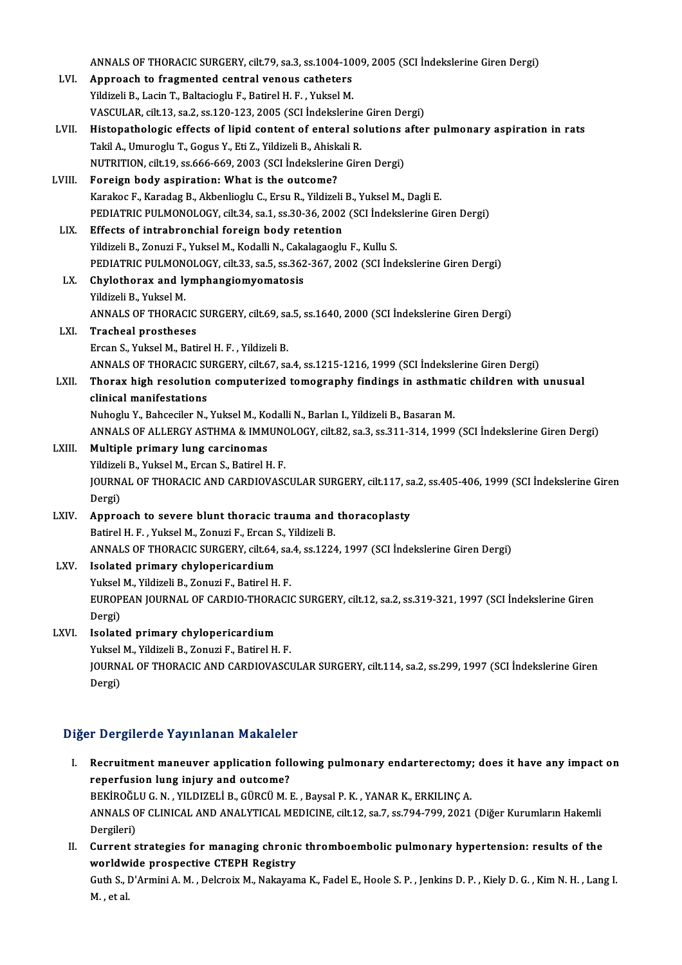|        | ANNALS OF THORACIC SURGERY, cilt.79, sa.3, ss.1004-1009, 2005 (SCI İndekslerine Giren Dergi)             |
|--------|----------------------------------------------------------------------------------------------------------|
| LVI.   | Approach to fragmented central venous catheters                                                          |
|        | Yildizeli B., Lacin T., Baltacioglu F., Batirel H. F., Yuksel M.                                         |
|        | VASCULAR, cilt.13, sa.2, ss.120-123, 2005 (SCI İndekslerine Giren Dergi)                                 |
| LVII.  | Histopathologic effects of lipid content of enteral solutions after pulmonary aspiration in rats         |
|        | Takil A., Umuroglu T., Gogus Y., Eti Z., Yildizeli B., Ahiskali R.                                       |
|        | NUTRITION, cilt.19, ss.666-669, 2003 (SCI İndekslerine Giren Dergi)                                      |
| LVIII. | Foreign body aspiration: What is the outcome?                                                            |
|        | Karakoc F., Karadag B., Akbenlioglu C., Ersu R., Yildizeli B., Yuksel M., Dagli E.                       |
|        | PEDIATRIC PULMONOLOGY, cilt.34, sa.1, ss.30-36, 2002 (SCI Indekslerine Giren Dergi)                      |
| LIX.   | Effects of intrabronchial foreign body retention                                                         |
|        | Yildizeli B., Zonuzi F., Yuksel M., Kodalli N., Cakalagaoglu F., Kullu S.                                |
|        | PEDIATRIC PULMONOLOGY, cilt.33, sa.5, ss.362-367, 2002 (SCI Indekslerine Giren Dergi)                    |
| LX.    | Chylothorax and lymphangiomyomatosis                                                                     |
|        | Yildizeli B., Yuksel M.                                                                                  |
|        | ANNALS OF THORACIC SURGERY, cilt.69, sa.5, ss.1640, 2000 (SCI İndekslerine Giren Dergi)                  |
| LXI.   | <b>Tracheal prostheses</b>                                                                               |
|        | Ercan S., Yuksel M., Batirel H. F., Yildizeli B.                                                         |
|        | ANNALS OF THORACIC SURGERY, cilt.67, sa.4, ss.1215-1216, 1999 (SCI İndekslerine Giren Dergi)             |
| LXII.  | Thorax high resolution computerized tomography findings in asthmatic children with unusual               |
|        | clinical manifestations                                                                                  |
|        | Nuhoglu Y., Bahceciler N., Yuksel M., Kodalli N., Barlan I., Yildizeli B., Basaran M.                    |
|        | ANNALS OF ALLERGY ASTHMA & IMMUNOLOGY, cilt.82, sa.3, ss.311-314, 1999 (SCI İndekslerine Giren Dergi)    |
| LXIII. | Multiple primary lung carcinomas                                                                         |
|        | Yildizeli B., Yuksel M., Ercan S., Batirel H. F.                                                         |
|        | JOURNAL OF THORACIC AND CARDIOVASCULAR SURGERY, cilt.117, sa.2, ss.405-406, 1999 (SCI Indekslerine Giren |
|        | Dergi)                                                                                                   |
| LXIV.  | Approach to severe blunt thoracic trauma and thoracoplasty                                               |
|        | Batirel H. F., Yuksel M., Zonuzi F., Ercan S., Yildizeli B.                                              |
|        | ANNALS OF THORACIC SURGERY, cilt.64, sa.4, ss.1224, 1997 (SCI Indekslerine Giren Dergi)                  |
| LXV.   | Isolated primary chylopericardium                                                                        |
|        | Yuksel M., Yildizeli B., Zonuzi F., Batirel H. F.                                                        |
|        | EUROPEAN JOURNAL OF CARDIO-THORACIC SURGERY, cilt.12, sa.2, ss.319-321, 1997 (SCI Indekslerine Giren     |
|        | Dergi)                                                                                                   |
| LXVI.  | Isolated primary chylopericardium                                                                        |
|        | Yuksel M., Yildizeli B., Zonuzi F., Batirel H. F.                                                        |
|        | JOURNAL OF THORACIC AND CARDIOVASCULAR SURGERY, cilt.114, sa.2, ss.299, 1997 (SCI İndekslerine Giren     |
|        | Dergi)                                                                                                   |
|        |                                                                                                          |

## <sub>Dergi)</sub><br>Diğer Dergilerde Yayınlanan Makaleler

- Iger Dergilerde Yayınlanan Makaleler<br>I. Recruitment maneuver application following pulmonary endarterectomy; does it have any impact on<br>Recruitment pung injuny and outcome? reperfusion lung iniurial manalone<br>Recruitment maneuver application foll<br>reperfusion lung injury and outcome?<br>PERIDOČLUC N. VILDIZELLE CURCUM. Recruitment maneuver application following pulmonary endarterectomy,<br>reperfusion lung injury and outcome?<br>BEKİROĞLU G.N., YILDIZELİ B., GÜRCÜ M. E. , Baysal P. K. , YANAR K., ERKILINÇ A.<br>ANNALS OF GLINICAL AND ANALYTICAL M reperfusion lung injury and outcome?<br>BEKİROĞLU G. N. , YILDIZELİ B., GÜRCÜ M. E. , Baysal P. K. , YANAR K., ERKILINÇ A.<br>ANNALS OF CLINICAL AND ANALYTICAL MEDICINE, cilt.12, sa.7, ss.794-799, 2021 (Diğer Kurumların Hakemli<br> BEKİROĞLU G. N., YILDIZELİ B., GÜRCÜ M. E., Baysal P. K., YANAR K., ERKILINÇ A. ANNALS OF CLINICAL AND ANALYTICAL MEDICINE, cilt.12, sa.7, ss.794-799, 2021 (Diğer Kurumların Hakemli<br>Dergileri)<br>II. Current strategies for managing chronic thromboembolic pulmonary hypertension: results of the<br>worldwide p
- Dergileri)<br>Current strategies for managing chronic<br>worldwide prospective CTEPH Registry<br>Cuth S. D'Anmini A.M., Delensiy M. Nakayaw worldwide prospective CTEPH Registry

Guth S., D'Armini A. M. , Delcroix M., Nakayama K., Fadel E., Hoole S. P. , Jenkins D. P. , Kiely D. G. , Kim N. H. , Lang I.<br>M. , et al.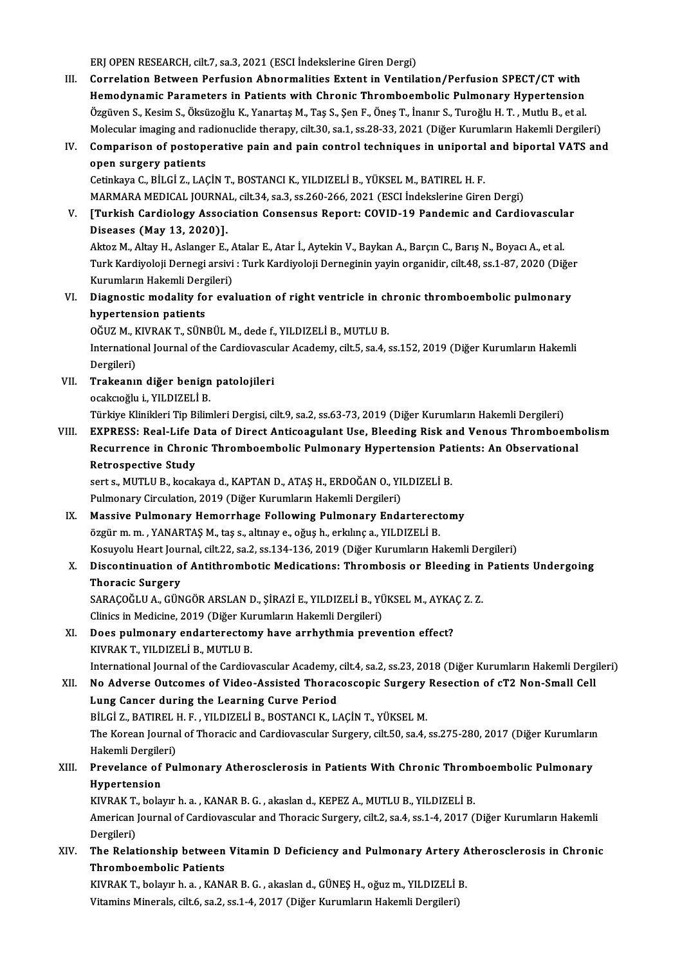ERJ OPEN RESEARCH, cilt.7, sa.3, 2021 (ESCI İndekslerine Giren Dergi)

- ERJ OPEN RESEARCH, cilt.7, sa.3, 2021 (ESCI İndekslerine Giren Dergi)<br>III. Correlation Between Perfusion Abnormalities Extent in Ventilation/Perfusion SPECT/CT with<br>Hemedynamia Persynators in Petients with Chronis Thrombos ERJ OPEN RESEARCH, cilt.7, sa.3, 2021 (ESCI İndekslerine Giren Dergi)<br>Correlation Between Perfusion Abnormalities Extent in Ventilation/Perfusion SPECT/CT with<br>Hemodynamic Parameters in Patients with Chronic Thromboembolic Correlation Between Perfusion Abnormalities Extent in Ventilation/Perfusion SPECT/CT with<br>Hemodynamic Parameters in Patients with Chronic Thromboembolic Pulmonary Hypertension<br>Özgüven S., Kesim S., Öksüzoğlu K., Yanartaş M Hemodynamic Parameters in Patients with Chronic Thromboembolic Pulmonary Hypertension<br>Özgüven S., Kesim S., Öksüzoğlu K., Yanartaş M., Taş S., Şen F., Öneş T., İnanır S., Turoğlu H. T. , Mutlu B., et al.<br>Molecular imaging Özgüven S., Kesim S., Öksüzoğlu K., Yanartaş M., Taş S., Şen F., Öneş T., İnanır S., Turoğlu H. T. , Mutlu B., et al.<br>Molecular imaging and radionuclide therapy, cilt.30, sa.1, ss.28-33, 2021 (Diğer Kurumların Hakemli Derg
- Molecular imaging and ra<br>Comparison of postope<br>open surgery patients<br>Cetinkaya C. Bit Ci 7, LAG IV. Comparison of postoperative pain and pain control techniques in uniportal and biportal VATS and<br>open surgery patients<br>Cetinkaya C., BİLGİ Z., LAÇİN T., BOSTANCI K., YILDIZELİ B., YÜKSEL M., BATIREL H. F.

MARMARAMEDICAL JOURNAL, cilt.34, sa.3, ss.260-266,2021 (ESCI İndekslerineGirenDergi)

Cetinkaya C., BİLGİ Z., LAÇİN T., BOSTANCI K., YILDIZELİ B., YÜKSEL M., BATIREL H. F.<br>MARMARA MEDICAL JOURNAL, cilt.34, sa.3, ss.260-266, 2021 (ESCI İndekslerine Giren Dergi)<br>V. [Turkish Cardiology Association Consensu MARMARA MEDICAL JOURNA<br>[Turkish Cardiology Assoc<br>Diseases (May 13, 2020)].<br>Alter M. Alteu H. Aclarger E. [Turkish Cardiology Association Consensus Report: COVID-19 Pandemic and Cardiovascula<br>Diseases (May 13, 2020)].<br>Aktoz M., Altay H., Aslanger E., Atalar E., Atar İ., Aytekin V., Baykan A., Barçın C., Barış N., Boyacı A., et

Diseases (May 13, 2020)].<br>Aktoz M., Altay H., Aslanger E., Atalar E., Atar İ., Aytekin V., Baykan A., Barçın C., Barış N., Boyacı A., et al.<br>Turk Kardiyoloji Dernegi arsivi : Turk Kardiyoloji Derneginin yayin organidir, ci Aktoz M., Altay H., Aslanger E., *f*<br>Turk Kardiyoloji Dernegi arsivi<br>Kurumların Hakemli Dergileri)<br>Diagnestis modelity for eve Turk Kardiyoloji Dernegi arsivi : Turk Kardiyoloji Derneginin yayin organidir, cilt.48, ss.1-87, 2020 (Diğe:<br>Kurumların Hakemli Dergileri)<br>VI. Diagnostic modality for evaluation of right ventricle in chronic thromboemb

Kurumların Hakemli Derg<br>Diagnostic modality fo<br>hypertension patients<br>Oğuz M. KIVRAK T. SÜN Diagnostic modality for evaluation of right ventricle in ch<br>hypertension patients<br>OĞUZ M., KIVRAK T., SÜNBÜL M., dede f., YILDIZELİ B., MUTLU B.<br>International Journal of the Cordiausesular Asedemu silt 5, se 4, 4

OĞUZ M., KIVRAK T., SÜNBÜL M., dede f., YILDIZELİ B., MUTLU B.

hypertension patients<br>OĞUZ M., KIVRAK T., SÜNBÜL M., dede f., YILDIZELİ B., MUTLU B.<br>International Journal of the Cardiovascular Academy, cilt.5, sa.4, ss.152, 2019 (Diğer Kurumların Hakemli<br>Dergileri) International Journal of the Cardiovascu<br>Dergileri)<br>VII. Trakeanın diğer benign patolojileri<br>Qopkayeğlu i. VII DIZELİ P

- Dergileri)<br>Trakeanın diğer benign<br>ocakcıoğlu i., YILDIZELİ B.<br>Türkiye Klinikleri Tin Bilim ocakcıoğlu i., YILDIZELİ B.<br>Türkiye Klinikleri Tip Bilimleri Dergisi, cilt.9, sa.2, ss.63-73, 2019 (Diğer Kurumların Hakemli Dergileri)
- ocakcıoğlu i., YILDIZELİ B.<br>Türkiye Klinikleri Tip Bilimleri Dergisi, cilt.9, sa.2, ss.63-73, 2019 (Diğer Kurumların Hakemli Dergileri)<br>VIII. EXPRESS: Real-Life Data of Direct Anticoagulant Use, Bleeding Risk and Venou Türkiye Klinikleri Tip Bilimleri Dergisi, cilt.9, sa.2, ss.63-73, 2019 (Diğer Kurumların Hakemli Dergileri)<br>EXPRESS: Real-Life Data of Direct Anticoagulant Use, Bleeding Risk and Venous Thromboemb<br>Recurrence in Chronic Thr EXPRESS: Real-Life <mark>E</mark><br>Recurrence in Chron<br>Retrospective Study<br>serts MITUE liscel Recurrence in Chronic Thromboembolic Pulmonary Hypertension Pat<br>Retrospective Study<br>sert s., MUTLU B., kocakaya d., KAPTAN D., ATAŞ H., ERDOĞAN O., YILDIZELİ B.<br>Pulmonary Circulation 2019 (Diğer Kurumların Hakamli Dergiler

Retrospective Study<br>sert s., MUTLU B., kocakaya d., KAPTAN D., ATAŞ H., ERDOĞAN O., YI<br>Pulmonary Circulation, 2019 (Diğer Kurumların Hakemli Dergileri)<br>Massiya Pulmonary, Hamarrhaga Fallawing Pulmanary, Ende sert s., MUTLU B., kocakaya d., KAPTAN D., ATAŞ H., ERDOĞAN O., YILDIZELİ B.<br>Pulmonary Circulation, 2019 (Diğer Kurumların Hakemli Dergileri)<br>IX. Massive Pulmonary Hemorrhage Following Pulmonary Endarterectomy

## Pulmonary Circulation, 2019 (Diğer Kurumların Hakemli Dergileri)<br>Massive Pulmonary Hemorrhage Following Pulmonary Endarterectomy<br>özgür m. m. , YANARTAŞ M., taş s., altınay e., oğuş h., erkılınç a., YILDIZELİ B. Massive Pulmonary Hemorrhage Following Pulmonary Endarterectomy<br>özgür m. m. , YANARTAŞ M., taş s., altınay e., oğuş h., erkılınç a., YILDIZELİ B.<br>Kosuyolu Heart Journal, cilt.22, sa.2, ss.134-136, 2019 (Diğer Kurumların Ha

### X. Discontinuation of Antithrombotic Medications: Thrombosis or Bleeding in Patients Undergoing<br>Thoracic Surgery Kosuyolu Heart Jour<br>Discontinuation o<br>Thoracic Surgery<br>SARACOČI U A. CÜN Discontinuation of Antithrombotic Medications: Thrombosis or Bleeding in<br>Thoracic Surgery<br>SARAÇOĞLU A., GÜNGÖR ARSLAN D., ŞİRAZİ E., YILDIZELİ B., YÜKSEL M., AYKAÇ Z. Z.<br>Clinics in Medicine 2019 (Dižer Kurumların Helsemli

Thoracic Surgery<br>SARAÇOĞLU A., GÜNGÖR ARSLAN D., ŞİRAZİ E., YILDIZELİ B., YÜ<br>Clinics in Medicine, 2019 (Diğer Kurumların Hakemli Dergileri)<br>Dess nulmanarıy andartarastamu haye arıbuthmia nrav SARAÇOĞLU A., GÜNGÖR ARSLAN D., ŞİRAZİ E., YILDIZELİ B., YÜKSEL M., AYKA<br>Clinics in Medicine, 2019 (Diğer Kurumların Hakemli Dergileri)<br>XI. Does pulmonary endarterectomy have arrhythmia prevention effect?<br>KIVRAK T. YU DIZE

## Clinics in Medicine, 2019 (Diğer Ku:<br>Does pulmonary endarterecton<br>KIVRAK T., YILDIZELİ B., MUTLU B.<br>International Jaurual of the Cardiox KIVRAK T., YILDIZELİ B., MUTLU B.<br>International Journal of the Cardiovascular Academy, cilt.4, sa.2, ss.23, 2018 (Diğer Kurumların Hakemli Dergileri)

KIVRAK T., YILDIZELİ B., MUTLU B.<br>International Journal of the Cardiovascular Academy, cilt.4, sa.2, ss.23, 2018 (Diğer Kurumların Hakemli Derg<br>XII. No Adverse Outcomes of Video-Assisted Thoracoscopic Surgery Resection of International Journal of the Cardiovascular Academy,<br>No Adverse Outcomes of Video-Assisted Thorac<br>Lung Cancer during the Learning Curve Period<br>Pici 7 PATIPEL H E VILDIZELLE POSTANCLE L No Adverse Outcomes of Video-Assisted Thoracoscopic Surgery<br>Lung Cancer during the Learning Curve Period<br>BİLGİ Z., BATIREL H. F. , YILDIZELİ B., BOSTANCI K., LAÇİN T., YÜKSEL M.<br>The Kerean Journal of Thoracis and Cardiovas Lung Cancer during the Learning Curve Period<br>BİLGİ Z., BATIREL H. F. , YILDIZELİ B., BOSTANCI K., LAÇİN T., YÜKSEL M.<br>The Korean Journal of Thoracic and Cardiovascular Surgery, cilt.50, sa.4, ss.275-280, 2017 (Diğer Kuruml

BİLGİ Z., BATIREL I<br>The Korean Journa<br>Hakemli Dergileri)<br>Provolance of Bu The Korean Journal of Thoracic and Cardiovascular Surgery, cilt.50, sa.4, ss.275-280, 2017 (Diğer Kurumlarır<br>Hakemli Dergileri)<br>XIII. Prevelance of Pulmonary Atherosclerosis in Patients With Chronic Thromboembolic Pulmonar

## Hakemli Dergile<br><mark>Prevelance of</mark><br>Hypertension<br>KWPAK Tobele Prevelance of Pulmonary Atherosclerosis in Patients With Chronic Throm<br>Hypertension<br>KIVRAK T., bolayır h. a. , KANAR B. G. , akaslan d., KEPEZ A., MUTLU B., YILDIZELİ B.<br>American Journal of Cardiousceular and Thoracis Surg

Hypertension<br>KIVRAK T., bolayır h. a. , KANAR B. G. , akaslan d., KEPEZ A., MUTLU B., YILDIZELİ B.<br>American Journal of Cardiovascular and Thoracic Surgery, cilt.2, sa.4, ss.1-4, 2017 (Diğer Kurumların Hakemli<br>Dergileri) KIVRAK T., bolayır h. a., KANAR B. G., akaslan d., KEPEZ A., MUTLU B., YILDIZELİ B. American Journal of Cardiovascular and Thoracic Surgery, cilt.2, sa.4, ss.1-4, 2017 (Diğer Kurumların Hakemli<br>Dergileri)<br>XIV. The Relationship between Vitamin D Deficiency and Pulmonary Artery Atherosclerosis in Chronic<br>Th

Dergileri)<br>The Relationship between<br>Thromboembolic Patients<br>KIVRAK T. belaun b.e., KAN The Relationship between Vitamin D Deficiency and Pulmonary Artery A<br>Thromboembolic Patients<br>KIVRAK T., bolayır h.a. , KANAR B. G. , akaslan d., GÜNEŞ H., oğuzm., YILDIZELİ B.<br>Vitamine Minerale silt 6, 20, 2001 4, 2017 (Di

Thromboembolic Patients<br>KIVRAK T., bolayır h. a. , KANAR B. G. , akaslan d., GÜNEŞ H., oğuz m., YILDIZELİ B.<br>Vitamins Minerals, cilt.6, sa.2, ss.1-4, 2017 (Diğer Kurumların Hakemli Dergileri)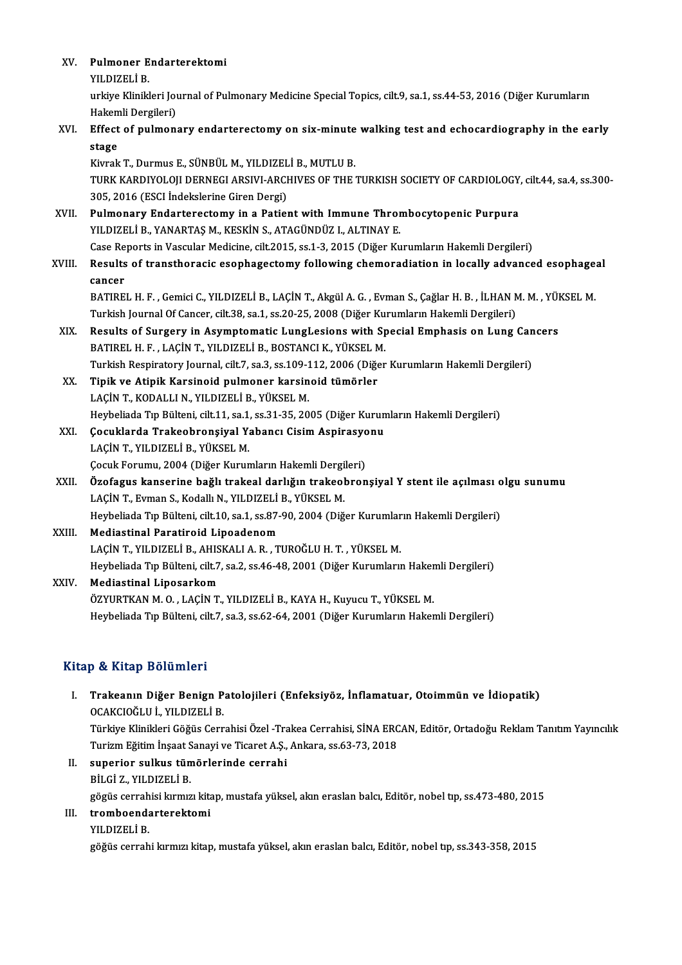| XV. Pulmoner Endarterektomi<br>ם ז'וסדים ווע |
|----------------------------------------------|

YILDIZELİB.

Pulmoner Endarterektomi<br>YILDIZELİ B.<br>urkiye Klinikleri Journal of Pulmonary Medicine Special Topics, cilt.9, sa.1, ss.44-53, 2016 (Diğer Kurumların YILDIZELİ B.<br>urkiye Klinikleri Jou<br>Hakemli Dergileri)<br>Effest of nulmon urkiye Klinikleri Journal of Pulmonary Medicine Special Topics, cilt. 9, sa.1, ss.44-53, 2016 (Diğer Kurumların<br>Hakemli Dergileri)<br>XVI. Effect of pulmonary endarterectomy on six-minute walking test and echocardiography in

## Hakem<br><mark>Effect</mark><br>stage<br><sup>Kivrok</sub></sup> Effect of pulmonary endarterectomy on six-minute<br>stage<br>Kivrak T., Durmus E., SÜNBÜL M., YILDIZELİ B., MUTLU B.<br>TURK KARDIYOLOU DERNECLARSIYLARCHIVES OF THE :

stage<br>Kivrak T., Durmus E., SÜNBÜL M., YILDIZELİ B., MUTLU B.<br>TURK KARDIYOLOJI DERNEGI ARSIVI-ARCHIVES OF THE TURKISH SOCIETY OF CARDIOLOGY, cilt.44, sa.4, ss.300-<br>305, 2016 (ESCI İndekslerine Giren Dergi) Kivrak T., Durmus E., SÜNBÜL M., YILDIZEL<br>TURK KARDIYOLOJI DERNEGI ARSIVI-ARCI<br>305, 2016 (ESCI İndekslerine Giren Dergi)<br>Pulmanary Endartarastamy in a Patier TURK KARDIYOLOJI DERNEGI ARSIVI-ARCHIVES OF THE TURKISH SOCIETY OF CARDIOLOGY<br>305, 2016 (ESCI İndekslerine Giren Dergi)<br>XVII. Pulmonary Endarterectomy in a Patient with Immune Thrombocytopenic Purpura<br>XVII. Pulmonary Endar

305, 2016 (ESCI İndekslerine Giren Dergi)<br>Pulmonary Endarterectomy in a Patient with Immune Thror<br>YILDIZELİ B., YANARTAŞ M., KESKİN S., ATAGÜNDÜZ I., ALTINAY E.<br>Casa Banarta in Vassular Madisina, silt 2015, ss.1, 2, 2015 ( Pulmonary Endarterectomy in a Patient with Immune Thrombocytopenic Purpura<br>YILDIZELİ B., YANARTAŞ M., KESKİN S., ATAGÜNDÜZ I., ALTINAY E.<br>Case Reports in Vascular Medicine, cilt.2015, ss.1-3, 2015 (Diğer Kurumların Hakemli

YILDIZELİ B., YANARTAŞ M., KESKİN S., ATAGÜNDÜZ I., ALTINAY E.<br>Case Reports in Vascular Medicine, cilt.2015, ss.1-3, 2015 (Diğer Kurumların Hakemli Dergileri)<br>XVIII. Results of transthoracic esophagectomy following che Case Re<br><mark>Results</mark><br>cancer<br>PATIDE Results of transthoracic esophagectomy following chemoradiation in locally advanced esophage:<br>cancer<br>BATIREL H. F. , Gemici C., YILDIZELİ B., LAÇİN T., Akgül A. G. , Evman S., Çağlar H. B. , İLHAN M. M. , YÜKSEL M.<br>Turkish

cancer<br>BATIREL H. F. , Gemici C., YILDIZELİ B., LAÇİN T., Akgül A. G. , Evman S., Çağlar H. B. , İLHAN N<br>Turkish Journal Of Cancer, cilt.38, sa.1, ss.20-25, 2008 (Diğer Kurumların Hakemli Dergileri)<br>Results of Sungeny in A BATIREL H. F. , Gemici C., YILDIZELİ B., LAÇİN T., Akgül A. G. , Evman S., Çağlar H. B. , İLHAN M. M. , YÜI<br>Turkish Journal Of Cancer, cilt.38, sa.1, ss.20-25, 2008 (Diğer Kurumların Hakemli Dergileri)<br>XIX. Results of Surg

Turkish Journal Of Cancer, cilt.38, sa.1, ss.20-25, 2008 (Diğer Kurumların Hakemli Dergileri)<br>Results of Surgery in Asymptomatic LungLesions with Special Emphasis on Lung Cancers<br>BATIREL H. F. , LACİN T., YILDIZELİ B., BOS Results of Surgery in Asymptomatic LungLesions with Special Emphasis on Lung Can<br>BATIREL H. F. , LAÇİN T., YILDIZELİ B., BOSTANCI K., YÜKSEL M.<br>Turkish Respiratory Journal, cilt.7, sa.3, ss.109-112, 2006 (Diğer Kurumların

XX. Tipik ve Atipik Karsinoid pulmoner karsinoid tümörler Turkish Respiratory Journal, cilt.7, sa.3, ss.109-1<br>Tipik ve Atipik Karsinoid pulmoner karsin<br>LAÇİN T., KODALLI N., YILDIZELİ B., YÜKSEL M.<br>Haybaliada Tın Bültani, silt 11, sa.1, ss.21, 25, 20. Heybeliada Tıp Bülteni, cilt.11, sa.1, ss.31-35, 2005 (Diğer Kurumların Hakemli Dergileri) LAÇİN T., KODALLI N., YILDIZELİ B., YÜKSEL M.<br>Heybeliada Tıp Bülteni, cilt.11, sa.1, ss.31-35, 2005 (Diğer Kurun<br>XXI. Çocuklarda Trakeobronşiyal Yabancı Cisim Aspirasyonu<br>LACİN T. YU DIZELİ B. YÜKSEL M

- Heybeliada Tıp Bülteni, cilt.11, sa.1,<br>**Çocuklarda Trakeobronşiyal Y;**<br>LAÇİN T., YILDIZELİ B., YÜKSEL M.<br>Cosuk Forumu. 2004 (Diğer Kurun Çocuklarda Trakeobronşiyal Yabancı Cisim Aspirasyc<br>LAÇİN T., YILDIZELİ B., YÜKSEL M.<br>Çocuk Forumu, 2004 (Diğer Kurumların Hakemli Dergileri)<br>Özofogus kanserine bağlı trakeal darlığın trakeobron LAÇİN T., YILDIZELİ B., YÜKSEL M.<br>Çocuk Forumu, 2004 (Diğer Kurumların Hakemli Dergileri)<br>XXII. Özofagus kanserine bağlı trakeal darlığın trakeobronşiyal Y stent ile açılması olgu sunumu<br>I AÇİN T. Eyman S. Kodallı N. Y
- Çocuk Forumu, 2004 (Diğer Kurumların Hakemli Dergi<br><mark>Özofagus kanserine bağlı trakeal darlığın trakeol</mark><br>LAÇİN T., Evman S., Kodallı N., YILDIZELİ B., YÜKSEL M.<br>Haybaliada Tın Bültani silt 10.93 1.93.20.2004 (Diğ Özofagus kanserine bağlı trakeal darlığın trakeobronşiyal Y stent ile açılması o<br>LAÇİN T., Evman S., Kodallı N., YILDIZELİ B., YÜKSEL M.<br>Heybeliada Tıp Bülteni, cilt.10, sa.1, ss.87-90, 2004 (Diğer Kurumların Hakemli Dergi LAÇİN T., Evman S., Kodallı N., YILDIZELİ B., YÜKSEL M.<br>Heybeliada Tıp Bülteni, cilt.10, sa.1, ss.87-90, 2004 (Diğer Kurumların Hakemli Dergileri)<br>XXIII. Mediastinal Paratiroid Lipoadenom

Heybeliada Tıp Bülteni, cilt.10, sa.1, ss.87-90, 2004 (Diğer Kurumlar<br>Mediastinal Paratiroid Lipoadenom<br>LAÇİN T., YILDIZELİ B., AHISKALI A. R. , TUROĞLU H. T. , YÜKSEL M.<br>Heybeliada Tıp Bülteni, silt 7, ss.2, ss.46,48,2001 Heybeliada Tıp Bülteni, cilt.7, sa.2, ss.46-48, 2001 (Diğer Kurumların Hakemli Dergileri)<br>Mediastinal Liposarkom LAÇİN T., YILDIZELİ B., AHIS<br>Heybeliada Tıp Bülteni, cilt.7<br>XXIV. Mediastinal Liposarkom<br>ÖZYUPTKAN M.O. LACİN T

ÖZYURTKAN M. O., LAÇİN T., YILDIZELİ B., KAYA H., Kuyucu T., YÜKSEL M. Heybeliada Tıp Bülteni, cilt.7, sa.3, ss.62-64, 2001 (Diğer Kurumların Hakemli Dergileri)

### Kitap & Kitap Bölümleri

I. Trakeanın Diğer Benign Patolojileri (Enfeksiyöz, İnflamatuar, Otoimmün ve İdiopatik) o de sistem Diğer Benign P<br>Trakeanın Diğer Benign P<br>OCAKCIOĞLU İ., YILDIZELİ B.<br>Türkiye Klinikleri Göğüş Cerr Trakeanın Diğer Benign Patolojileri (Enfeksiyöz, İnflamatuar, Otoimmün ve İdiopatik)<br>OCAKCIOĞLU İ., YILDIZELİ B.<br>Türkiye Klinikleri Göğüs Cerrahisi Özel -Trakea Cerrahisi, SİNA ERCAN, Editör, Ortadoğu Reklam Tanıtım Yayınc OCAKCIOĞLU İ., YILDIZELİ B.<br>Türkiye Klinikleri Göğüs Cerrahisi Özel -Trakea Cerrahisi, SİNA ERC<br>Turizm Eğitim İnşaat Sanayi ve Ticaret A.Ş., Ankara, ss.63-73, 2018<br>sunarior, sulkuş tümörlerinde serrebi Turizm Eğitim İnşaat Sanayi ve Ticaret A.Ş., Ankara, ss.63-73, 2018

II. superior sulkus tümörlerinde cerrahi<br>BİLGİ Z., YILDIZELİ B.

superior sulkus tümörlerinde cerrahi<br>BİLGİ Z., YILDIZELİ B.<br>gögüs cerrahisi kırmızı kitap, mustafa yüksel, akın eraslan balcı, Editör, nobel tıp, ss.473-480, 2015<br>tromboondartarektami

### III. tromboendarterektomi<br>YILDIZELİ B. gögüs cerrah<br><mark>tromboend:</mark><br>YILDIZELİ B.<br>göğüs cerrah

göğüs cerrahi kırmızı kitap, mustafa yüksel, akın eraslan balcı, Editör, nobel tıp, ss.343-358, 2015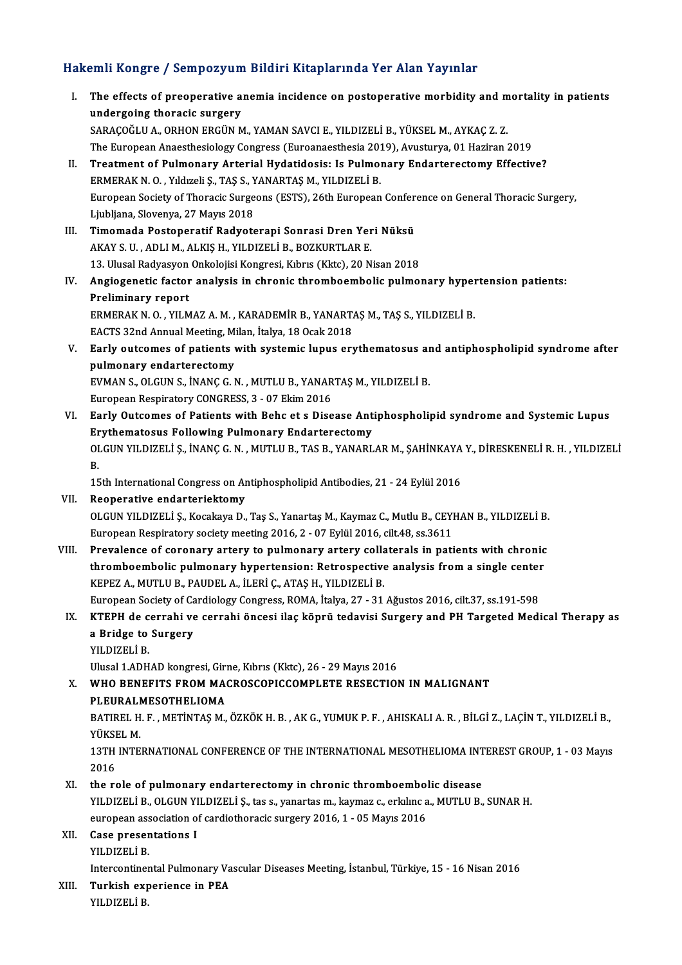### Hakemli Kongre / Sempozyum Bildiri Kitaplarında Yer Alan Yayınlar

akemli Kongre / Sempozyum Bildiri Kitaplarında Yer Alan Yayınlar<br>I. The effects of preoperative anemia incidence on postoperative morbidity and mortality in patients<br>undergeing theresis surgery The effects of preoperative a<br>undergoing thoracic surgery<br>SARACOČI II A OPHON ERCUN M The effects of preoperative anemia incidence on postoperative morbidity and m<br>undergoing thoracic surgery<br>SARAÇOĞLU A., ORHON ERGÜN M., YAMAN SAVCI E., YILDIZELİ B., YÜKSEL M., AYKAÇ Z. Z.<br>The European Apeethesialogy Congr undergoing thoracic surgery<br>SARAÇOĞLU A., ORHON ERGÜN M., YAMAN SAVCI E., YILDIZELİ B., YÜKSEL M., AYKAÇ Z. Z.<br>The European Anaesthesiology Congress (Euroanaesthesia 2019), Avusturya, 01 Haziran 2019<br>Treatment of Pulmenary SARAÇOĞLU A., ORHON ERGÜN M., YAMAN SAVCI E., YILDIZELİ B., YÜKSEL M., AYKAÇ Z. Z.<br>The European Anaesthesiology Congress (Euroanaesthesia 2019), Avusturya, 01 Haziran 2019<br>II. Treatment of Pulmonary Arterial Hydatidosis: I The European Anaesthesiology Congress (Euroanaesthesia 201<br>Treatment of Pulmonary Arterial Hydatidosis: Is Pulmon<br>ERMERAK N.O., Yıldızeli Ş., TAŞ S., YANARTAŞ M., YILDIZELİ B.<br>European Society of Therecis Surgeans (ESTS), II. Treatment of Pulmonary Arterial Hydatidosis: Is Pulmonary Endarterectomy Effective?<br>ERMERAK N. O. , Yıldızeli Ş., TAŞ S., YANARTAŞ M., YILDIZELİ B.<br>European Society of Thoracic Surgeons (ESTS), 26th European Conference ERMERAK N. O. , Yıldızeli Ş., TAŞ S., Y<br>European Society of Thoracic Surge<br>Ljubljana, Slovenya, 27 Mayıs 2018<br>Timomada Bostonaratif Badyatç European Society of Thoracic Surgeons (ESTS), 26th European Confer<br>Ljubljana, Slovenya, 27 Mayıs 2018<br>III. Timomada Postoperatif Radyoterapi Sonrasi Dren Yeri Nüksü<br>AKAY S.U. ADLLM ALKIS H. YU DIZELİ B. BOZKUPTLAR E Ljubljana, Slovenya, 27 Mayıs 2018<br><mark>Timomada Postoperatif Radyoterapi Sonrasi Dren Yer</mark><br>AKAY S. U. , ADLI M., ALKIŞ H., YILDIZELİ B., BOZKURTLAR E.<br>13. Ulucal Padyasyon Onkolajisi Kongresi, Kıbrıs (Klrts), 20 N Timomada Postoperatif Radyoterapi Sonrasi Dren Yeri Nüksü<br>AKAY S. U. , ADLI M., ALKIŞ H., YILDIZELİ B., BOZKURTLAR E.<br>13. Ulusal Radyasyon Onkolojisi Kongresi, Kıbrıs (Kktc), 20 Nisan 2018<br>Angiogenetis fastar analysis in s AKAY S. U. , ADLI M., ALKIŞ H., YILDIZELİ B., BOZKURTLAR E.<br>13. Ulusal Radyasyon Onkolojisi Kongresi, Kıbrıs (Kktc), 20 Nisan 2018<br>IV. Angiogenetic factor analysis in chronic thromboembolic pulmonary hypertension patie 13. Ulusal Radyasyon<br>Angiogenetic factor<br>Preliminary report<br>EPMEPAK N.O. VII M Angiogenetic factor analysis in chronic thromboembolic pulmonary hyper<br>Preliminary report<br>ERMERAK N. O. , YILMAZ A. M. , KARADEMİR B., YANARTAŞ M., TAŞ S., YILDIZELİ B.<br>EACTS 22nd Annual Mestins Milan İtalya 19 Osak 2019 Preliminary report<br>ERMERAK N. O. , YILMAZ A. M. , KARADEMİR B., YANART.<br>EACTS 32nd Annual Meeting, Milan, İtalya, 18 Ocak 2018<br>Farly outgomas of nationts with systemis lunus oru ERMERAK N. O. , YILMAZ A. M. , KARADEMIR B., YANARTAŞ M., TAŞ S., YILDIZELİ B.<br>EACTS 32nd Annual Meeting, Milan, İtalya, 18 Ocak 2018<br>V. Early outcomes of patients with systemic lupus erythematosus and antiphospholipid EACTS 32nd Annual Meeting, M.<br>Early outcomes of patients v<br>pulmonary endarterectomy<br>EVMAN S. OLGUN S. NANG G.N Early outcomes of patients with systemic lupus erythematosus ar<br>pulmonary endarterectomy<br>EVMAN S., OLGUN S., İNANÇ G.N. , MUTLU B., YANARTAŞ M., YILDIZELİ B.<br>European Bespiratory CONGBESS 3 - 97 Ekim 3916 pulmonary endarterectomy<br>EVMAN S., OLGUN S., İNANÇ G. N. , MUTLU B., YANARTAŞ M., YILDIZELİ B.<br>European Respiratory CONGRESS. 3 - 07 Ekim 2016 VI. Early Outcomes of Patients with Behc et s Disease Antiphospholipid syndrome and Systemic Lupus Erythematosus Following Pulmonary Endarterectomy Early Outcomes of Patients with Behc et s Disease Antiphospholipid syndrome and Systemic Lupus<br>Erythematosus Following Pulmonary Endarterectomy<br>OLGUN YILDIZELİ Ş., İNANÇ G. N. , MUTLU B., TAS B., YANARLAR M., ŞAHİNKAYA Y., Er<br>OI<br>B. OLGUN YILDIZELİ Ş., İNANÇ G. N. , MUTLU B., TAS B., YANARLAR M., ŞAHİNKAYA<br>B.<br>15th International Congress on Antiphospholipid Antibodies, 21 - 24 Eylül 2016<br>Peanantiive andantariaktamu B.<br>15th International Congress on Antiphospholipid Antibodies, 21 - 24 Eylül 2016<br>VII. Reoperative endarteriektomy OLGUNYILDIZELİ Ş.,KocakayaD.,Taş S.,YanartaşM.,KaymazC.,MutluB.,CEYHANB.,YILDIZELİB. European Respiratory society meeting 2016, 2 - 07 Eylül 2016, cilt.48, ss.3611 OLGUN YILDIZELİ Ş., Kocakaya D., Taş S., Yanartaş M., Kaymaz C., Mutlu B., CEYHAN B., YILDIZELİ B.<br>European Respiratory society meeting 2016, 2 - 07 Eylül 2016, cilt.48, ss.3611<br>VIII. Prevalence of coronary artery to pulmo European Respiratory society meeting 2016, 2 - 07 Eylül 2016, cilt.48, ss.3611<br>Prevalence of coronary artery to pulmonary artery collaterals in patients with chronic<br>thromboembolic pulmonary hypertension: Retrospective ana thromboembolic pulmonary hypertension: Retrospective analysis from a single center<br>KEPEZ A., MUTLU B., PAUDEL A., İLERİ Ç., ATAŞ H., YILDIZELİ B. thromboembolic pulmonary hypertension: Retrospective analysis from a single center<br>KEPEZ A., MUTLU B., PAUDEL A., İLERİ Ç., ATAŞ H., YILDIZELİ B.<br>European Society of Cardiology Congress, ROMA, İtalya, 27 - 31 Ağustos 2016, IX. KTEPH de cerrahi ve cerrahi öncesi ilaç köprü tedavisi Surgery and PH Targeted Medical Therapy as European Society of Ca<br>KTEPH de cerrahi ve<br>a Bridge to Surgery<br>vu Dizet i P a Bridge to Surgery<br>YILDIZELİ B. Ulusal 1.ADHAD kongresi, Girne, Kıbrıs (Kktc), 26 - 29 Mayıs 2016 YILDIZELİ B.<br>Ulusal 1.ADHAD kongresi, Girne, Kıbrıs (Kktc), 26 - 29 Mayıs 2016<br>X. WHO BENEFITS FROM MACROSCOPICCOMPLETE RESECTION IN MALIGNANT<br>BI EURALMESOTHELIOMA Ulusal 1.ADHAD kongresi, Giri<br>WHO BENEFITS FROM MA<br>PLEURALMESOTHELIOMA<br>PATIDEL H E - METINTAS M WHO BENEFITS FROM MACROSCOPICCOMPLETE RESECTION IN MALIGNANT<br>PLEURALMESOTHELIOMA<br>BATIREL H. F. , METİNTAŞ M., ÖZKÖK H. B. , AK G., YUMUK P. F. , AHISKALI A. R. , BİLGİ Z., LAÇİN T., YILDIZELİ B.,<br>VÜKSEL M <mark>PLEURALI</mark><br>BATIREL H<br>YÜKSEL M.<br>13TH INTE BATIREL H. F. , METİNTAŞ M., ÖZKÖK H. B. , AK G., YUMUK P. F. , AHISKALI A. R. , BİLGİ Z., LAÇİN T., YILDIZELİ B.,<br>YÜKSEL M.<br>13TH INTERNATIONAL CONFERENCE OF THE INTERNATIONAL MESOTHELIOMA INTEREST GROUP, 1 - 03 Mayıs<br>2016 YÜKSI<br>13TH<br>2016<br>the Fe 13TH INTERNATIONAL CONFERENCE OF THE INTERNATIONAL MESOTHELIOMA INT<br>2016<br>XI. the role of pulmonary endarterectomy in chronic thromboembolic disease<br>VILDIZELLE OLGUN VILDIZELLS, the s. vanastes m. kaymar s. orkling a. MITH 2016<br>XI. the role of pulmonary endarterectomy in chronic thromboembolic disease<br>YILDIZELİ B., OLGUN YILDIZELİ Ş., tas s., yanartas m., kaymaz c., erkılınc a., MUTLU B., SUNAR H. the role of pulmonary endarterectomy in chronic thromboembo!<br>YILDIZELİ B., OLGUN YILDIZELİ Ş., tas s., yanartas m., kaymaz c., erkılınc a<br>european association of cardiothoracic surgery 2016, 1 - 05 Mayıs 2016<br>Case presenta XII. Case presentations I<br>YILDIZELİ B. european ass<br>Case preser<br>YILDIZELİ B.<br>Intercentiner Case presentations I<br>YILDIZELİ B.<br>Intercontinental Pulmonary Vascular Diseases Meeting, İstanbul, Türkiye, 15 - 16 Nisan 2016<br>Turkish exporiance in REA XIII. Turkish experience in PEA<br>YILDIZELİ B. Intercontine<mark>r</mark><br>Turkish exp<br>YILDIZELİ B.